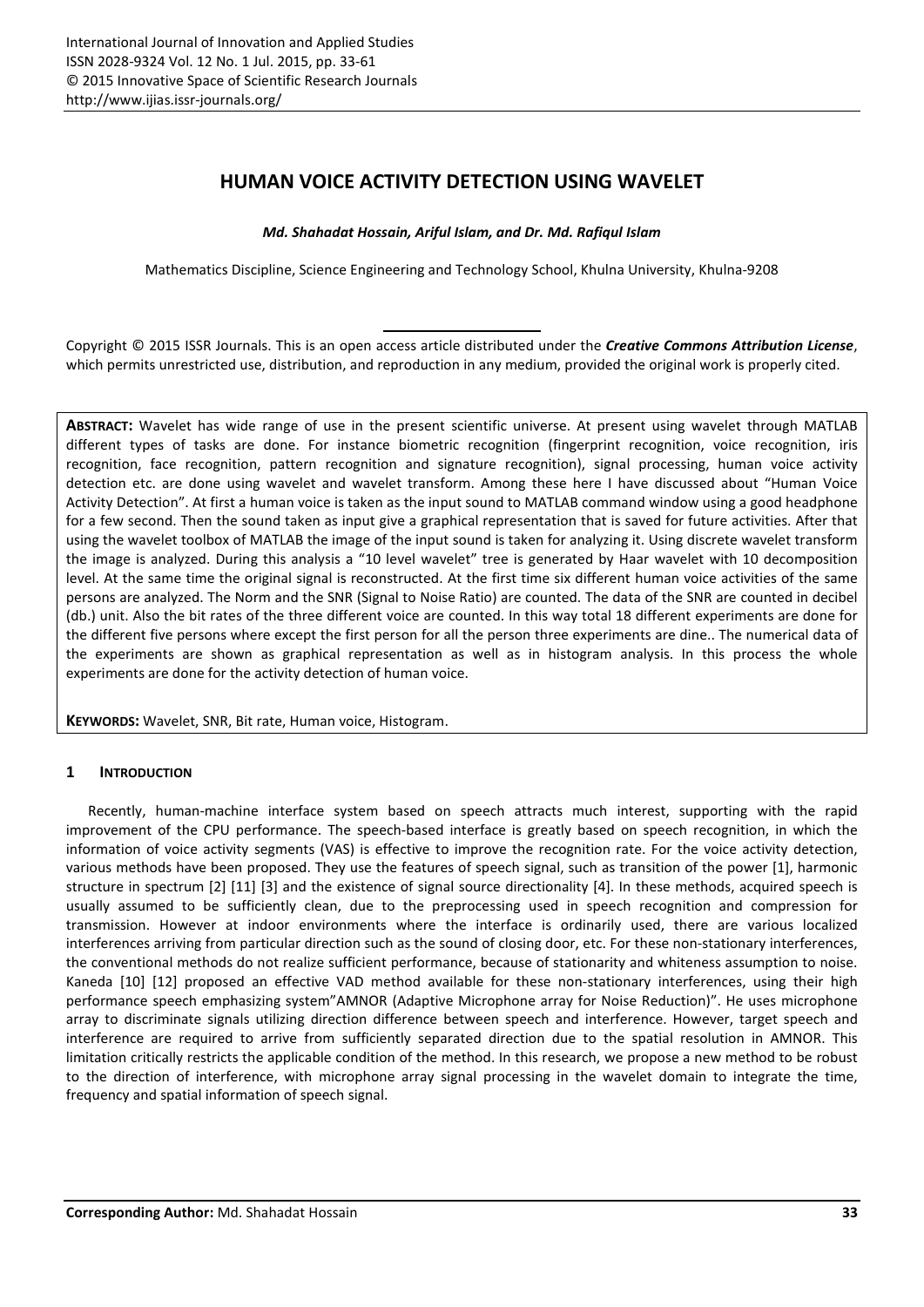# HUMAN VOICE ACTIVITY DETECTION USING WAVELET

*Md. Shahadat Hossain, Ariful Islam, and Dr. Md. Rafiqul Islam*

Mathematics Discipline, Science Engineering and Technology School, Khulna University, Khulna-9208

Copyright © 2015 ISSR Journals. This is an open access article distributed under the *Creative Commons Attribution License*, which permits unrestricted use, distribution, and reproduction in any medium, provided the original work is properly cited.

ABSTRACT: Wavelet has wide range of use in the present scientific universe. At present using wavelet through MATLAB different types of tasks are done. For instance biometric recognition (fingerprint recognition, voice recognition, iris recognition, face recognition, pattern recognition and signature recognition), signal processing, human voice activity detection etc. are done using wavelet and wavelet transform. Among these here I have discussed about "Human Voice Activity Detection". At first a human voice is taken as the input sound to MATLAB command window using a good headphone for a few second. Then the sound taken as input give a graphical representation that is saved for future activities. After that using the wavelet toolbox of MATLAB the image of the input sound is taken for analyzing it. Using discrete wavelet transform the image is analyzed. During this analysis a "10 level wavelet" tree is generated by Haar wavelet with 10 decomposition level. At the same time the original signal is reconstructed. At the first time six different human voice activities of the same persons are analyzed. The Norm and the SNR (Signal to Noise Ratio) are counted. The data of the SNR are counted in decibel (db.) unit. Also the bit rates of the three different voice are counted. In this way total 18 different experiments are done for the different five persons where except the first person for all the person three experiments are dine.. The numerical data of the experiments are shown as graphical representation as well as in histogram analysis. In this process the whole experiments are done for the activity detection of human voice.

KEYWORDS: Wavelet, SNR, Bit rate, Human voice, Histogram.

## 1 INTRODUCTION

Recently, human-machine interface system based on speech attracts much interest, supporting with the rapid improvement of the CPU performance. The speech-based interface is greatly based on speech recognition, in which the information of voice activity segments (VAS) is effective to improve the recognition rate. For the voice activity detection, various methods have been proposed. They use the features of speech signal, such as transition of the power [1], harmonic structure in spectrum [2] [11] [3] and the existence of signal source directionality [4]. In these methods, acquired speech is usually assumed to be sufficiently clean, due to the preprocessing used in speech recognition and compression for transmission. However at indoor environments where the interface is ordinarily used, there are various localized interferences arriving from particular direction such as the sound of closing door, etc. For these non-stationary interferences, the conventional methods do not realize sufficient performance, because of stationarity and whiteness assumption to noise. Kaneda [10] [12] proposed an effective VAD method available for these non-stationary interferences, using their high performance speech emphasizing system"AMNOR (Adaptive Microphone array for Noise Reduction)". He uses microphone array to discriminate signals utilizing direction difference between speech and interference. However, target speech and interference are required to arrive from sufficiently separated direction due to the spatial resolution in AMNOR. This limitation critically restricts the applicable condition of the method. In this research, we propose a new method to be robust to the direction of interference, with microphone array signal processing in the wavelet domain to integrate the time, frequency and spatial information of speech signal.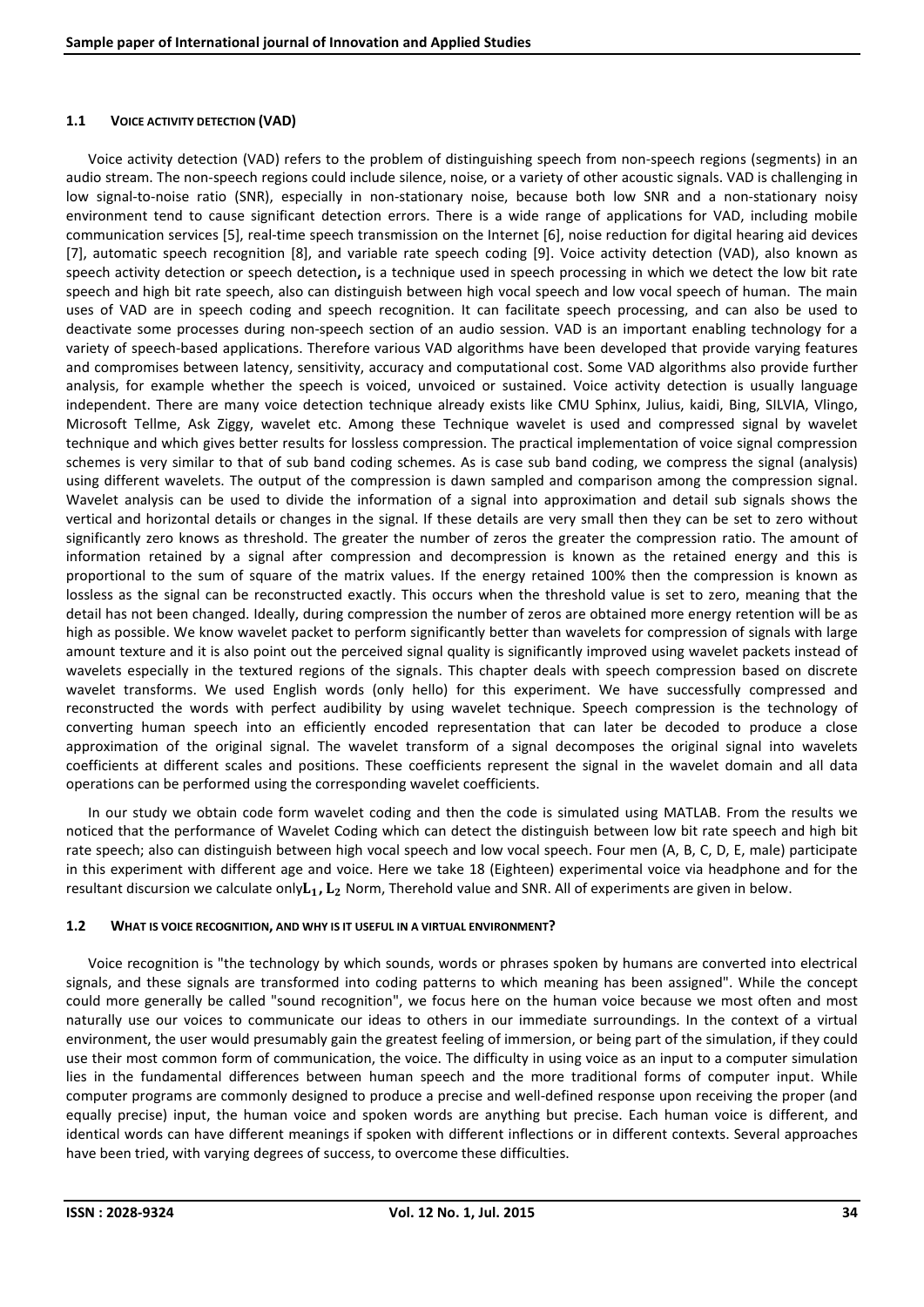## 1.1 VOICE ACTIVITY DETECTION (VAD)

Voice activity detection (VAD) refers to the problem of distinguishing speech from non-speech regions (segments) in an audio stream. The non-speech regions could include silence, noise, or a variety of other acoustic signals. VAD is challenging in low signal-to-noise ratio (SNR), especially in non-stationary noise, because both low SNR and a non-stationary noisy environment tend to cause significant detection errors. There is a wide range of applications for VAD, including mobile communication services [5], real-time speech transmission on the Internet [6], noise reduction for digital hearing aid devices [7], automatic speech recognition [8], and variable rate speech coding [9]. Voice activity detection (VAD), also known as speech activity detection or speech detection, is a technique used in speech processing in which we detect the low bit rate speech and high bit rate speech, also can distinguish between high vocal speech and low vocal speech of human. The main uses of VAD are in speech coding and speech recognition. It can facilitate speech processing, and can also be used to deactivate some processes during non-speech section of an audio session. VAD is an important enabling technology for a variety of speech-based applications. Therefore various VAD algorithms have been developed that provide varying features and compromises between latency, sensitivity, accuracy and computational cost. Some VAD algorithms also provide further analysis, for example whether the speech is voiced, unvoiced or sustained. Voice activity detection is usually language independent. There are many voice detection technique already exists like CMU Sphinx, Julius, kaidi, Bing, SILVIA, Vlingo, Microsoft Tellme, Ask Ziggy, wavelet etc. Among these Technique wavelet is used and compressed signal by wavelet technique and which gives better results for lossless compression. The practical implementation of voice signal compression schemes is very similar to that of sub band coding schemes. As is case sub band coding, we compress the signal (analysis) using different wavelets. The output of the compression is dawn sampled and comparison among the compression signal. Wavelet analysis can be used to divide the information of a signal into approximation and detail sub signals shows the vertical and horizontal details or changes in the signal. If these details are very small then they can be set to zero without significantly zero knows as threshold. The greater the number of zeros the greater the compression ratio. The amount of information retained by a signal after compression and decompression is known as the retained energy and this is proportional to the sum of square of the matrix values. If the energy retained 100% then the compression is known as lossless as the signal can be reconstructed exactly. This occurs when the threshold value is set to zero, meaning that the detail has not been changed. Ideally, during compression the number of zeros are obtained more energy retention will be as high as possible. We know wavelet packet to perform significantly better than wavelets for compression of signals with large amount texture and it is also point out the perceived signal quality is significantly improved using wavelet packets instead of wavelets especially in the textured regions of the signals. This chapter deals with speech compression based on discrete wavelet transforms. We used English words (only hello) for this experiment. We have successfully compressed and reconstructed the words with perfect audibility by using wavelet technique. Speech compression is the technology of converting human speech into an efficiently encoded representation that can later be decoded to produce a close approximation of the original signal. The wavelet transform of a signal decomposes the original signal into wavelets coefficients at different scales and positions. These coefficients represent the signal in the wavelet domain and all data operations can be performed using the corresponding wavelet coefficients.

In our study we obtain code form wavelet coding and then the code is simulated using MATLAB. From the results we noticed that the performance of Wavelet Coding which can detect the distinguish between low bit rate speech and high bit rate speech; also can distinguish between high vocal speech and low vocal speech. Four men (A, B, C, D, E, male) participate in this experiment with different age and voice. Here we take 18 (Eighteen) experimental voice via headphone and for the resultant discursion we calculate only $L_1$ ,  $L_2$  Norm, Therehold value and SNR. All of experiments are given in below.

### 1.2 WHAT IS VOICE RECOGNITION, AND WHY IS IT USEFUL IN A VIRTUAL ENVIRONMENT?

Voice recognition is "the technology by which sounds, words or phrases spoken by humans are converted into electrical signals, and these signals are transformed into coding patterns to which meaning has been assigned". While the concept could more generally be called "sound recognition", we focus here on the human voice because we most often and most naturally use our voices to communicate our ideas to others in our immediate surroundings. In the context of a virtual environment, the user would presumably gain the greatest feeling of immersion, or being part of the simulation, if they could use their most common form of communication, the voice. The difficulty in using voice as an input to a computer simulation lies in the fundamental differences between human speech and the more traditional forms of computer input. While computer programs are commonly designed to produce a precise and well-defined response upon receiving the proper (and equally precise) input, the human voice and spoken words are anything but precise. Each human voice is different, and identical words can have different meanings if spoken with different inflections or in different contexts. Several approaches have been tried, with varying degrees of success, to overcome these difficulties.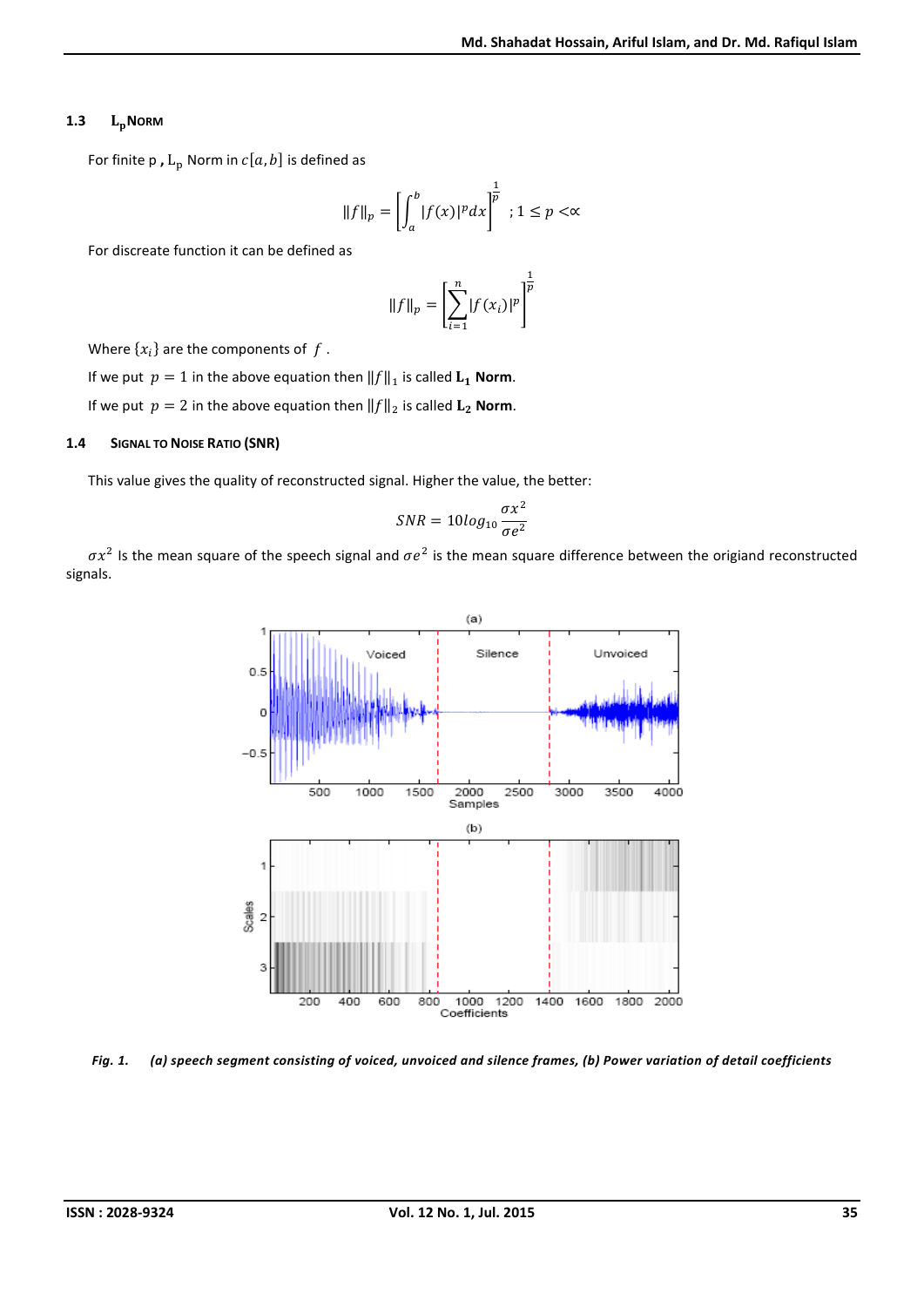## 1.3  $L_p$ NORM

For finite p,  $L_p$  Norm in  $c[a, b]$  is defined as

$$
||f||_p = \left[\int_a^b |f(x)|^p dx\right]^{\frac{1}{p}}; 1 \le p < \infty
$$

For discreate function it can be defined as

$$
||f||_{p} = \left[\sum_{i=1}^{n} |f(x_{i})|^{p}\right]^{\frac{1}{p}}
$$

Where  $\{x_i\}$  are the components of f.

If we put  $p = 1$  in the above equation then  $||f||_1$  is called  $L_1$  Norm.

If we put  $p = 2$  in the above equation then  $||f||_2$  is called  $\mathbf{L}_2$  Norm.

### 1.4 SIGNAL TO NOISE RATIO (SNR)

This value gives the quality of reconstructed signal. Higher the value, the better:

$$
SNR = 10\log_{10}\frac{\sigma x^2}{\sigma e^2}
$$

 $\sigma x^2$  Is the mean square of the speech signal and  $\sigma e^2$  is the mean square difference between the origiand reconstructed signals.



*Fig. 1. (a) speech segment consisting of voiced, unvoiced and silence frames, (b) Power variation of detail coefficients*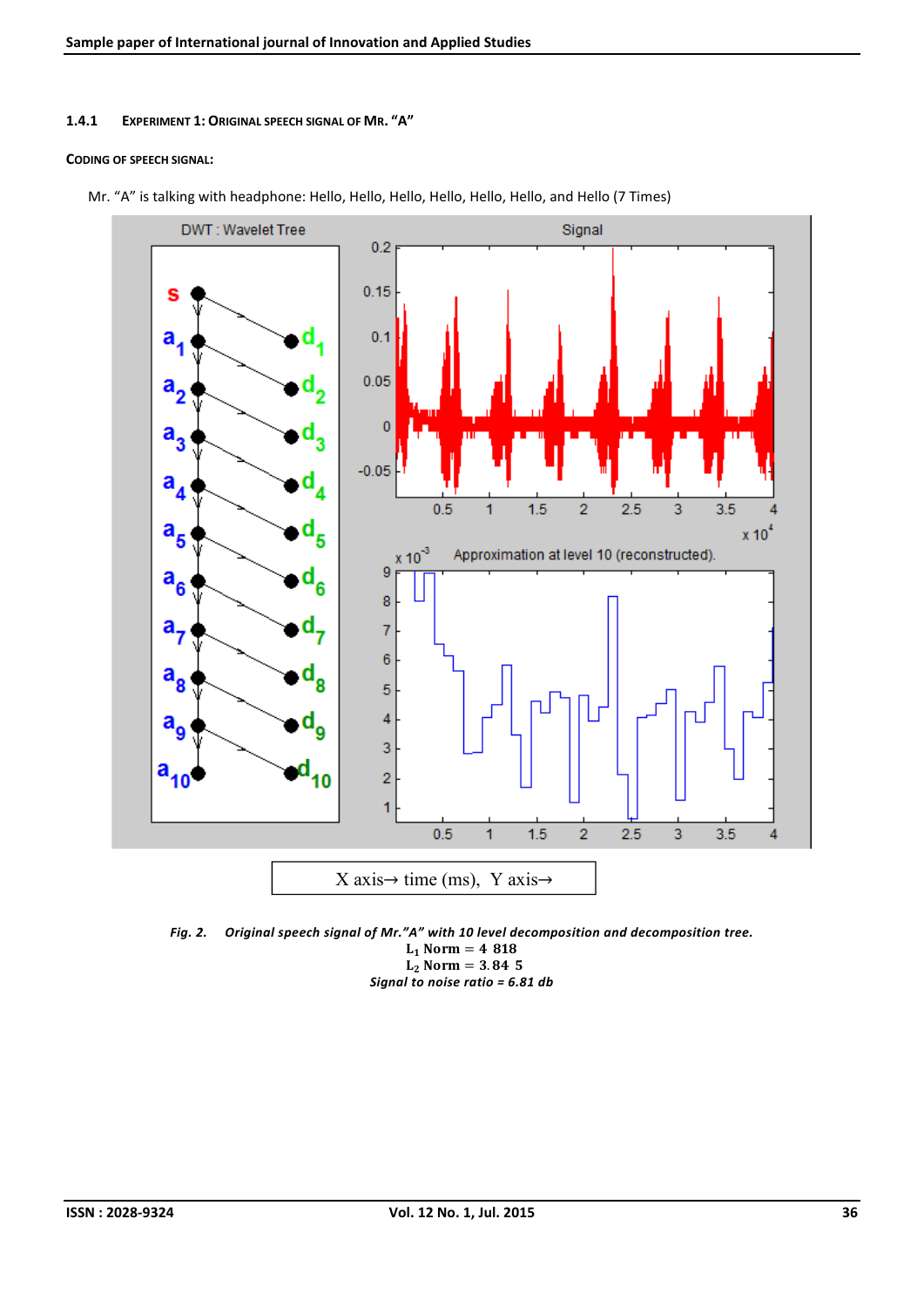### 1.4.1 EXPERIMENT 1: ORIGINAL SPEECH SIGNAL OF MR. "A"

#### CODING OF SPEECH SIGNAL:



Mr. "A" is talking with headphone: Hello, Hello, Hello, Hello, Hello, Hello, and Hello (7 Times)

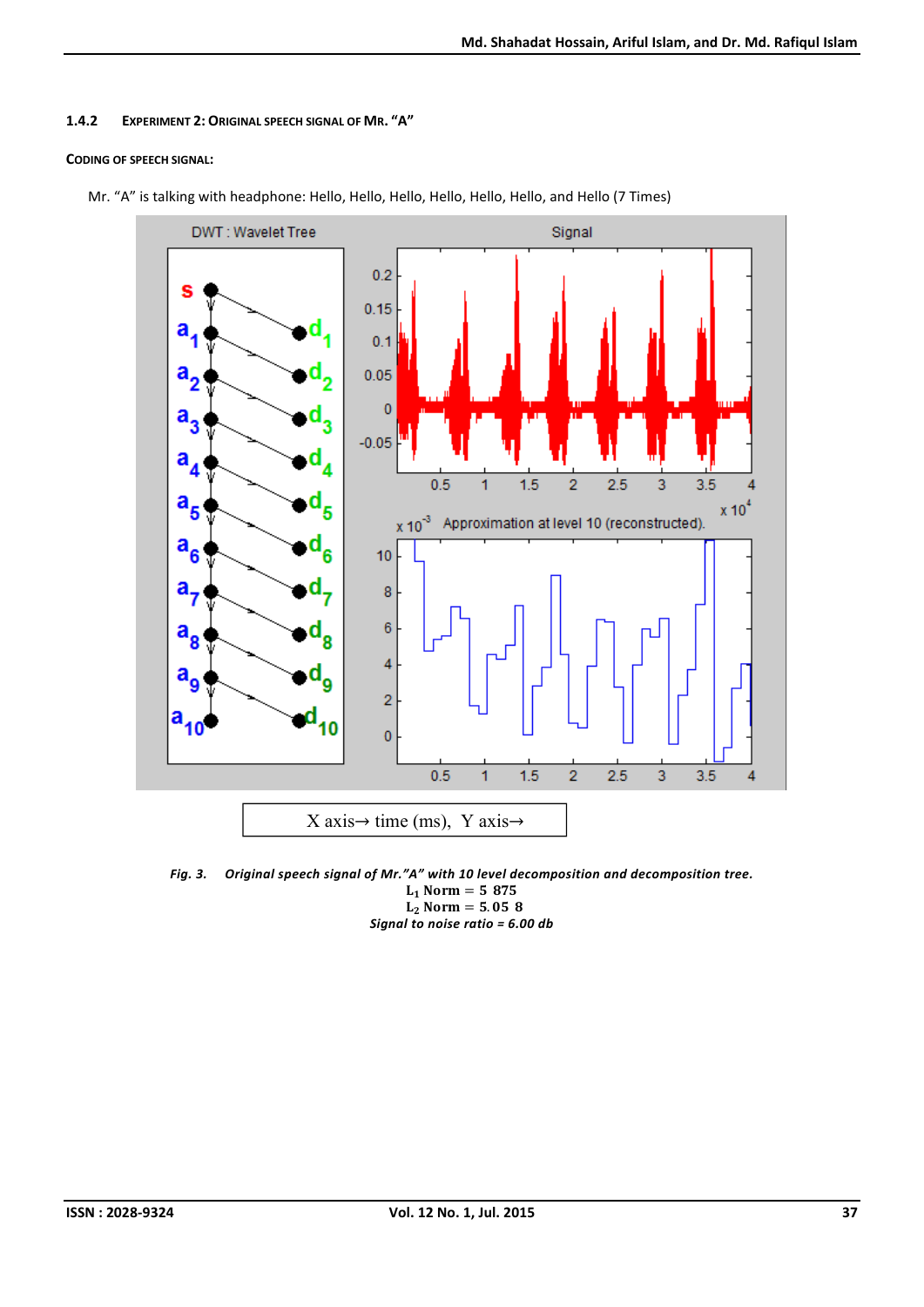## 1.4.2 EXPERIMENT 2: ORIGINAL SPEECH SIGNAL OF MR. "A"

## CODING OF SPEECH SIGNAL:



Mr. "A" is talking with headphone: Hello, Hello, Hello, Hello, Hello, Hello, and Hello (7 Times)

*Fig. 3. Original speech signal of Mr."A" with 10 level decomposition and decomposition tree.*  $L_1$  Norm = 587.5  $L_2$  Norm = 5.058 *Signal to noise ratio = 6.00 db*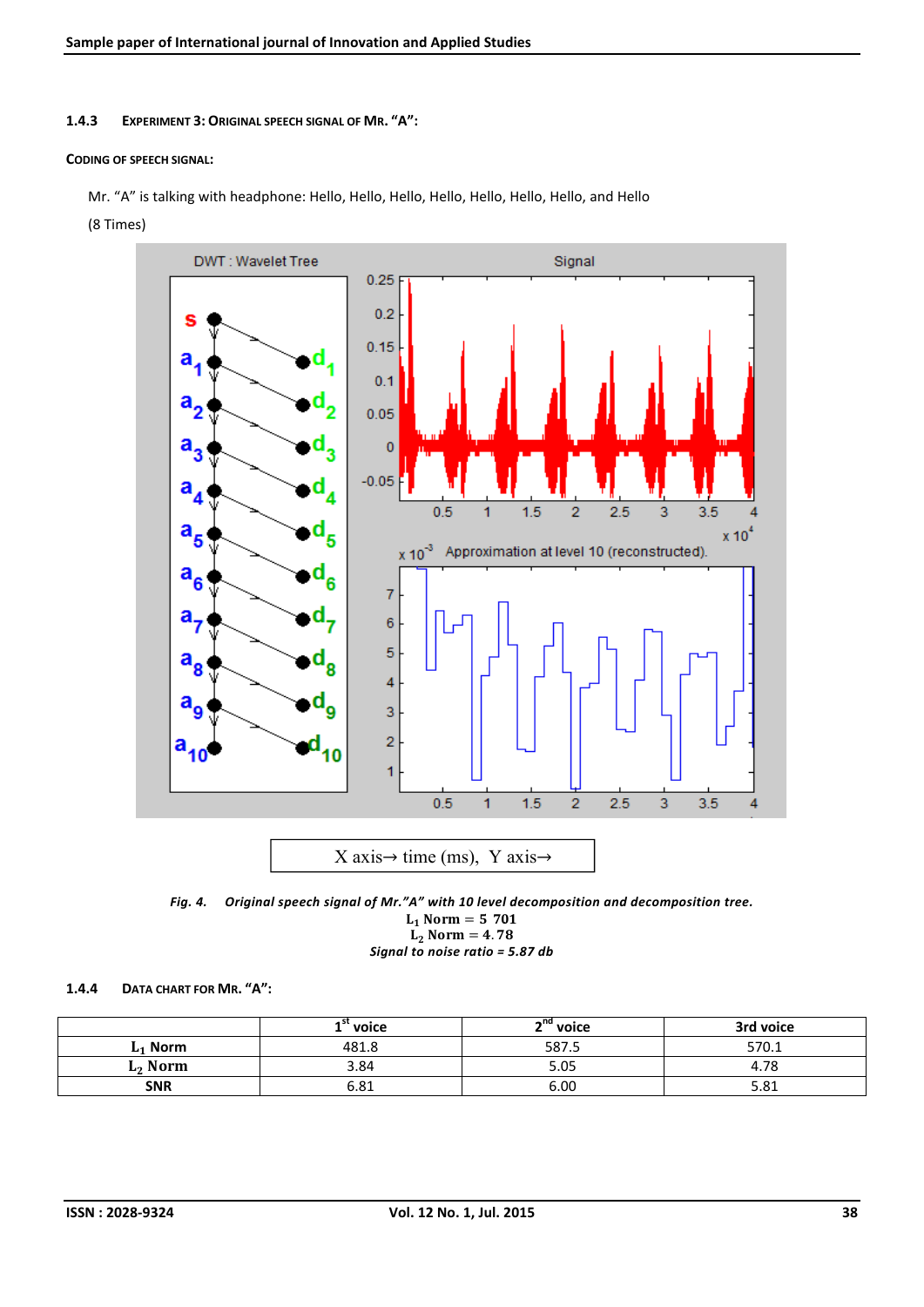1.4.3 EXPERIMENT 3: ORIGINAL SPEECH SIGNAL OF MR. "A":

#### CODING OF SPEECH SIGNAL:

Mr. "A" is talking with headphone: Hello, Hello, Hello, Hello, Hello, Hello, Hello, and Hello

(8 Times)



*Fig. 4. Original speech signal of Mr."A" with 10 level decomposition and decomposition tree.*  $L_1$  Norm = 570.1  $L_2$  Norm = 4.78 *Signal to noise ratio = 5.87 db*

#### 1.4.4 DATA CHART FOR MR. "A":

|                     | voice | ⊸nd<br>' voice | 3rd voice           |  |  |
|---------------------|-------|----------------|---------------------|--|--|
| Norm                | 481.8 |                | 570.1               |  |  |
| L <sub>2</sub> Norm | 3.84  |                | 4.78                |  |  |
| <b>SNR</b><br>6.81  |       | 6.00           | <b>CO1</b><br>3.O L |  |  |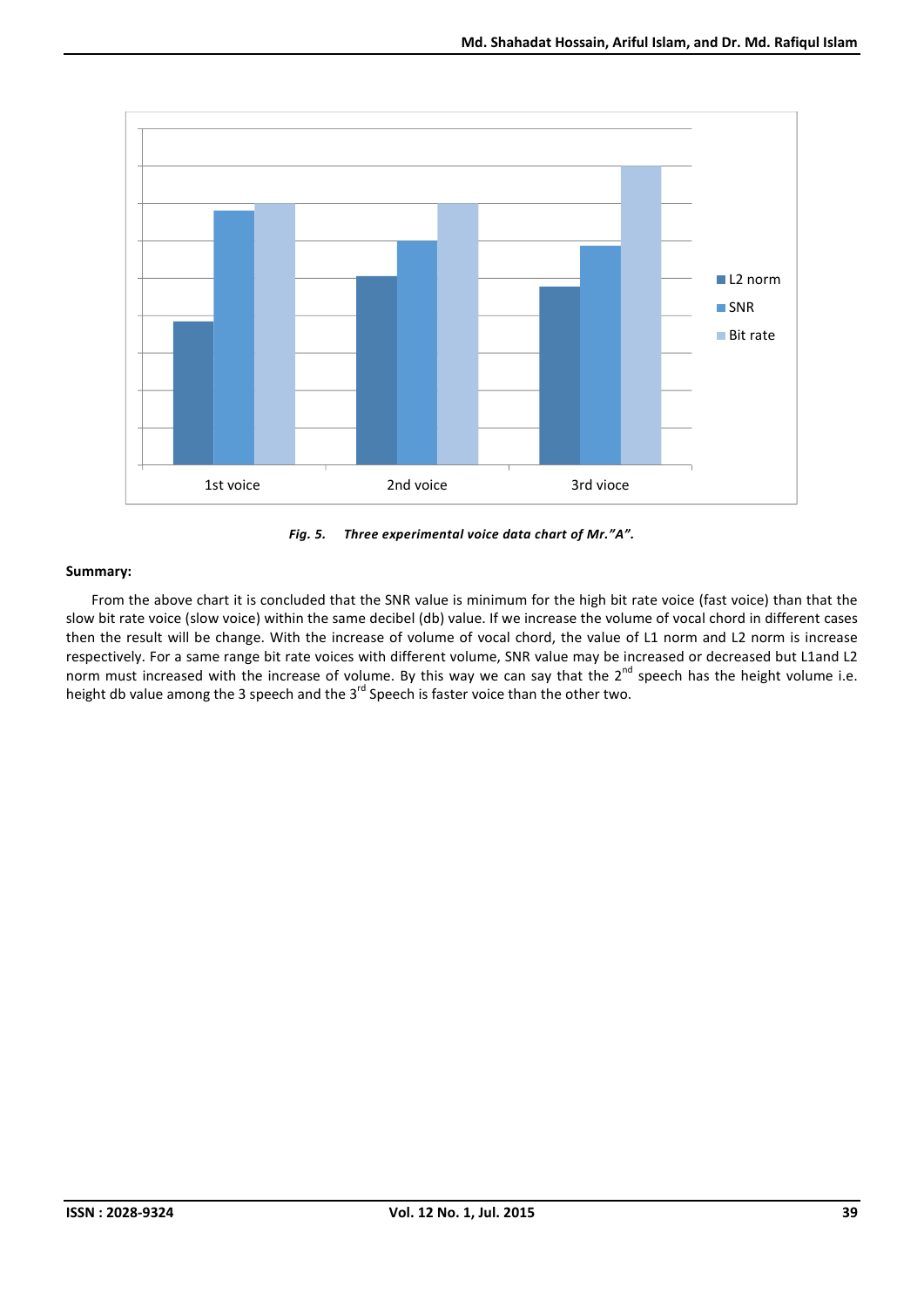

*Fig. 5. Three experimental voice data chart of Mr."A".*

From the above chart it is concluded that the SNR value is minimum for the high bit rate voice (fast voice) than that the slow bit rate voice (slow voice) within the same decibel (db) value. If we increase the volume of vocal chord in different cases then the result will be change. With the increase of volume of vocal chord, the value of L1 norm and L2 norm is increase respectively. For a same range bit rate voices with different volume, SNR value may be increased or decreased but L1and L2 norm must increased with the increase of volume. By this way we can say that the 2<sup>nd</sup> speech has the height volume i.e. height db value among the 3 speech and the 3<sup>rd</sup> Speech is faster voice than the other two.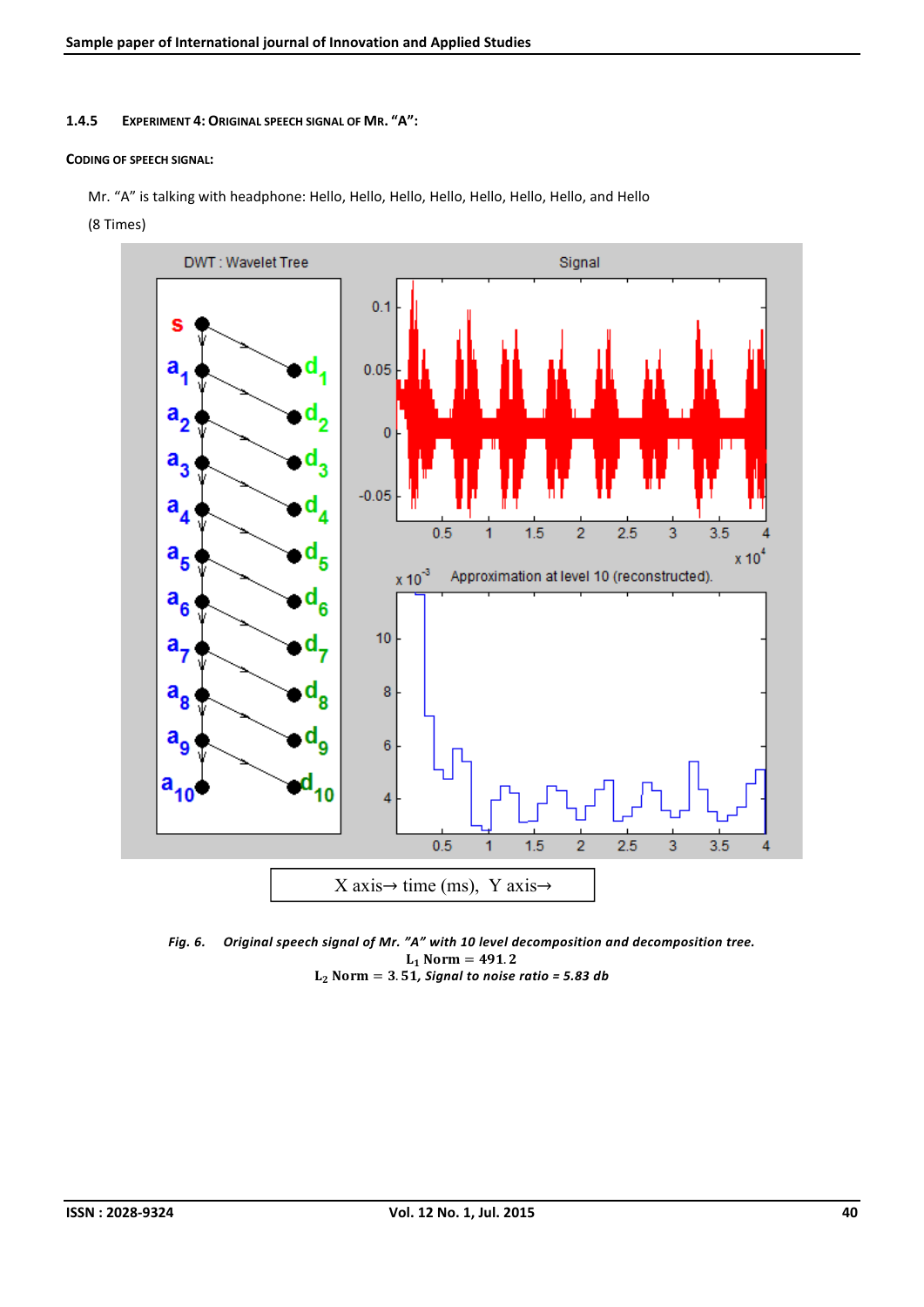1.4.5 EXPERIMENT 4: ORIGINAL SPEECH SIGNAL OF MR. "A":

#### CODING OF SPEECH SIGNAL:

Mr. "A" is talking with headphone: Hello, Hello, Hello, Hello, Hello, Hello, Hello, and Hello

(8 Times)



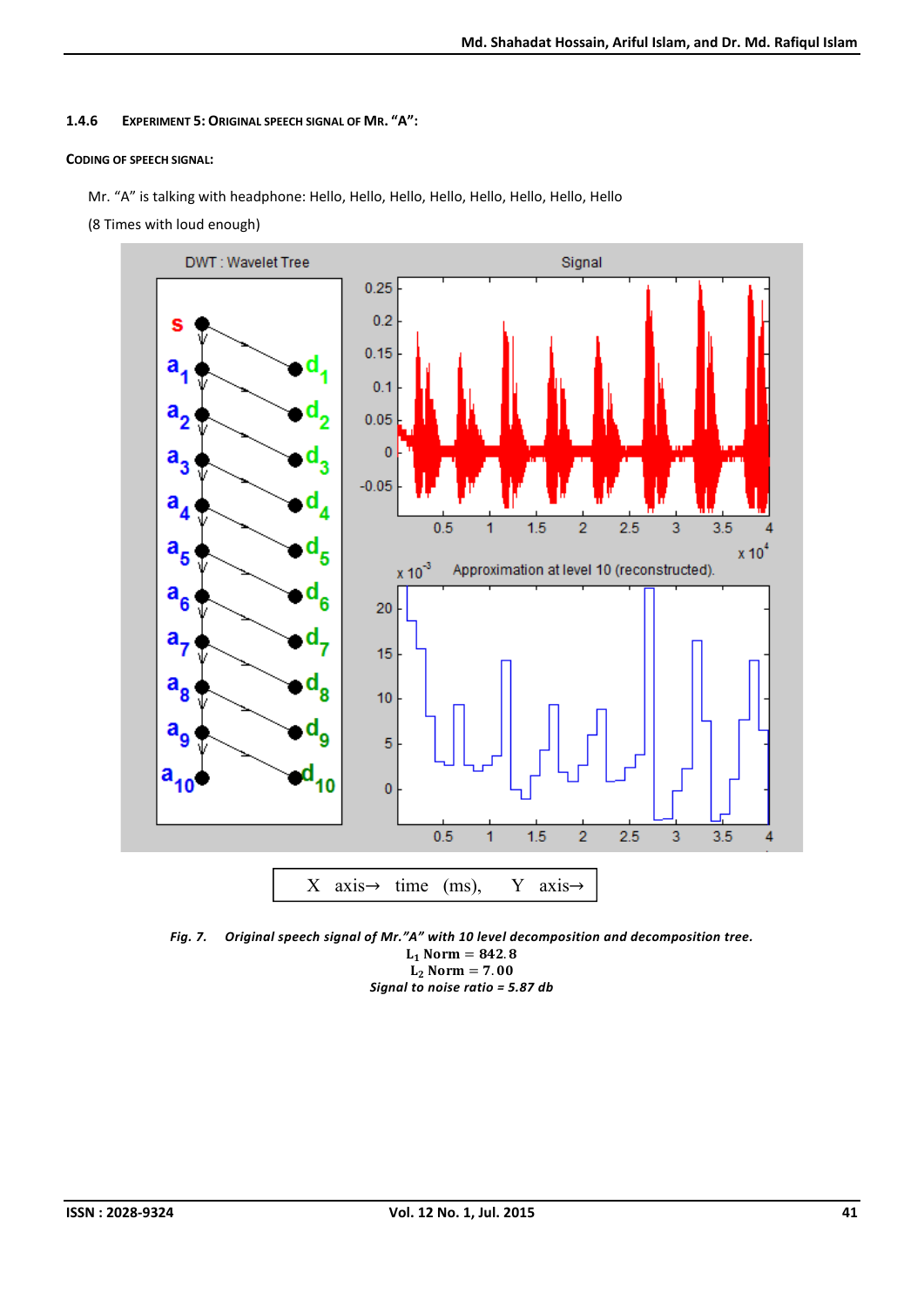## 1.4.6 EXPERIMENT 5: ORIGINAL SPEECH SIGNAL OF MR. "A":

## CODING OF SPEECH SIGNAL:

Mr. "A" is talking with headphone: Hello, Hello, Hello, Hello, Hello, Hello, Hello, Hello

(8 Times with loud enough)



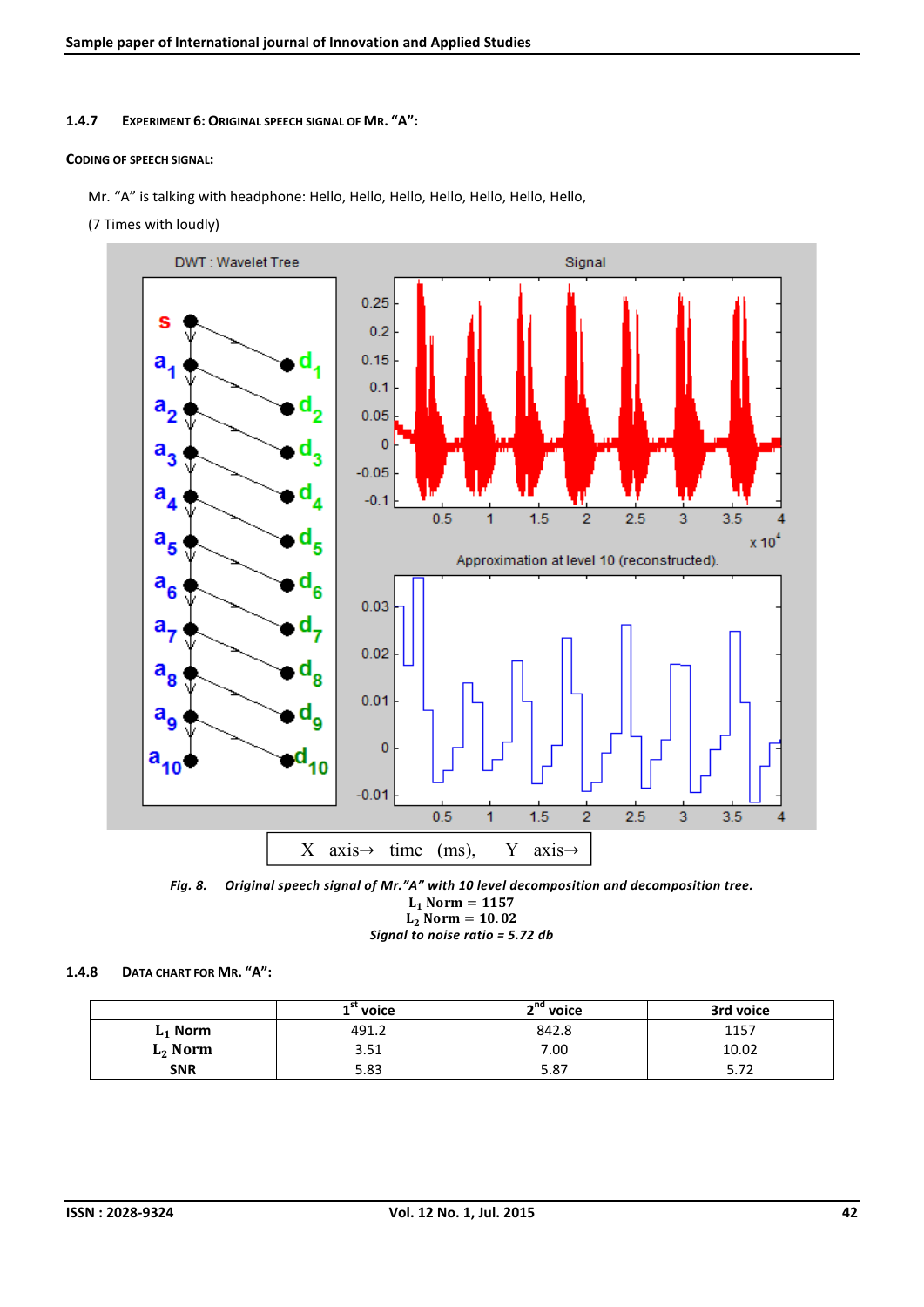#### 1.4.7 EXPERIMENT 6: ORIGINAL SPEECH SIGNAL OF MR. "A":

#### CODING OF SPEECH SIGNAL:

Mr. "A" is talking with headphone: Hello, Hello, Hello, Hello, Hello, Hello, Hello,

(7 Times with loudly)





*Signal to noise ratio = 5.72 db*

### 1.4.8 DATA CHART FOR MR. "A":

|                     | $1$ " voice | n <sup>nd</sup> voice | 3rd voice |  |  |
|---------------------|-------------|-----------------------|-----------|--|--|
| $L_1$ Norm<br>491.2 |             | 842.8                 | 1157      |  |  |
| $L_2$ Norm          | 3.51        | 7.00                  | 10.02     |  |  |
| <b>SNR</b><br>5.83  |             | 5.87                  | ، ، ب     |  |  |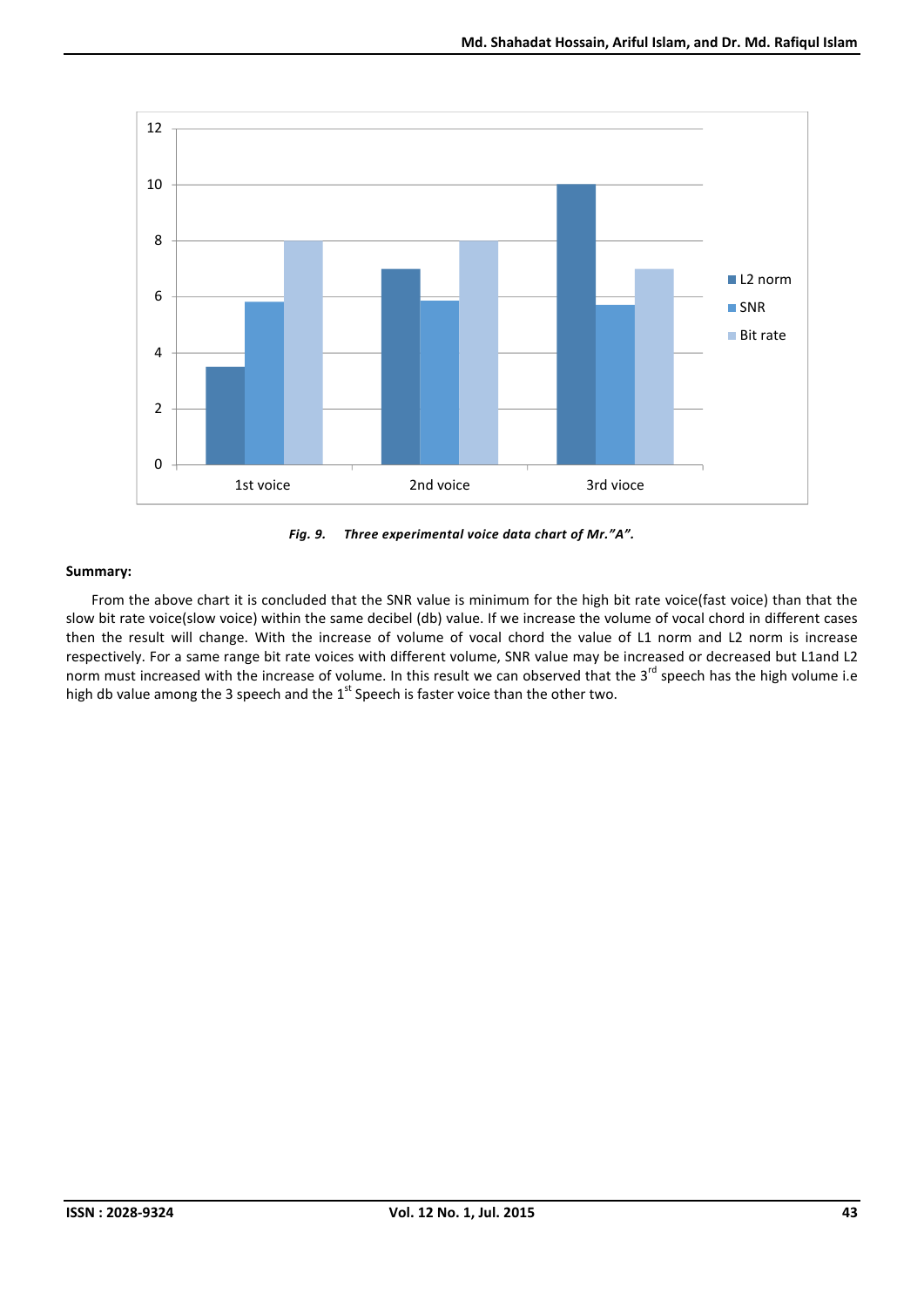



From the above chart it is concluded that the SNR value is minimum for the high bit rate voice(fast voice) than that the slow bit rate voice(slow voice) within the same decibel (db) value. If we increase the volume of vocal chord in different cases then the result will change. With the increase of volume of vocal chord the value of L1 norm and L2 norm is increase respectively. For a same range bit rate voices with different volume, SNR value may be increased or decreased but L1and L2 norm must increased with the increase of volume. In this result we can observed that the 3<sup>rd</sup> speech has the high volume i.e high db value among the 3 speech and the 1<sup>st</sup> Speech is faster voice than the other two.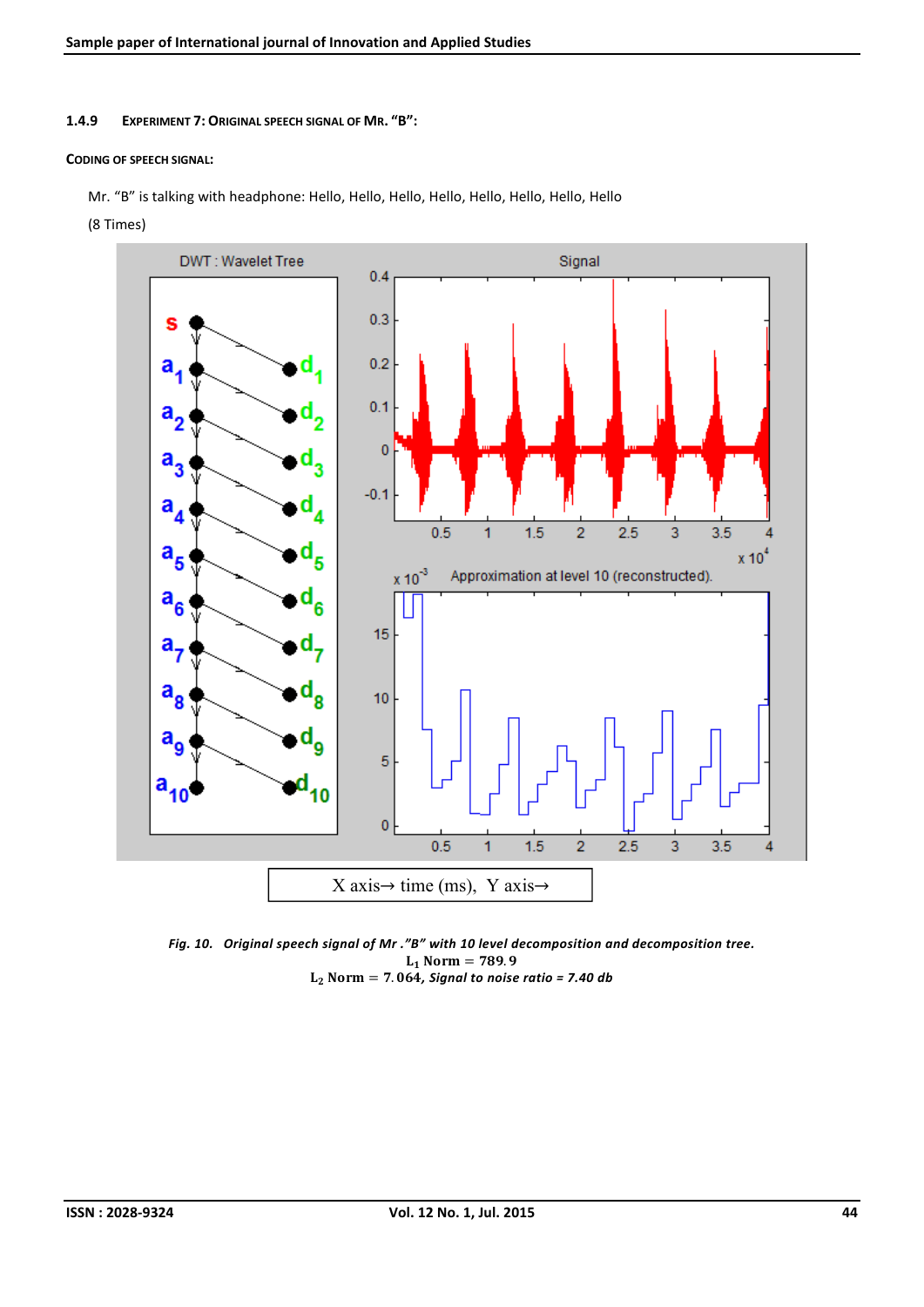1.4.9 EXPERIMENT 7: ORIGINAL SPEECH SIGNAL OF MR. "B":

#### CODING OF SPEECH SIGNAL:

Mr. "B" is talking with headphone: Hello, Hello, Hello, Hello, Hello, Hello, Hello, Hello

(8 Times)



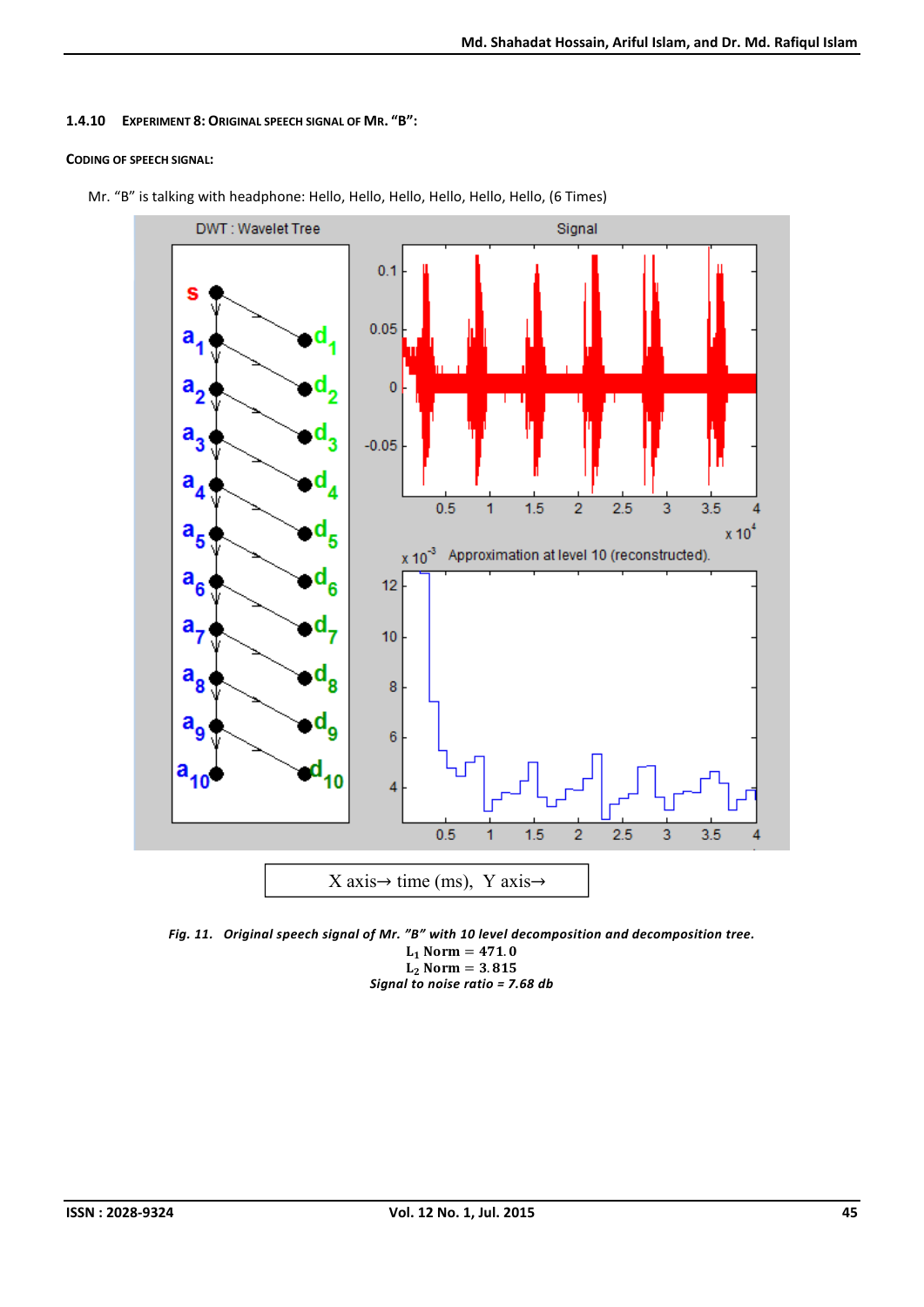#### 1.4.10 EXPERIMENT 8: ORIGINAL SPEECH SIGNAL OF MR. "B":

#### CODING OF SPEECH SIGNAL:



Mr. "B" is talking with headphone: Hello, Hello, Hello, Hello, Hello, Hello, (6 Times)

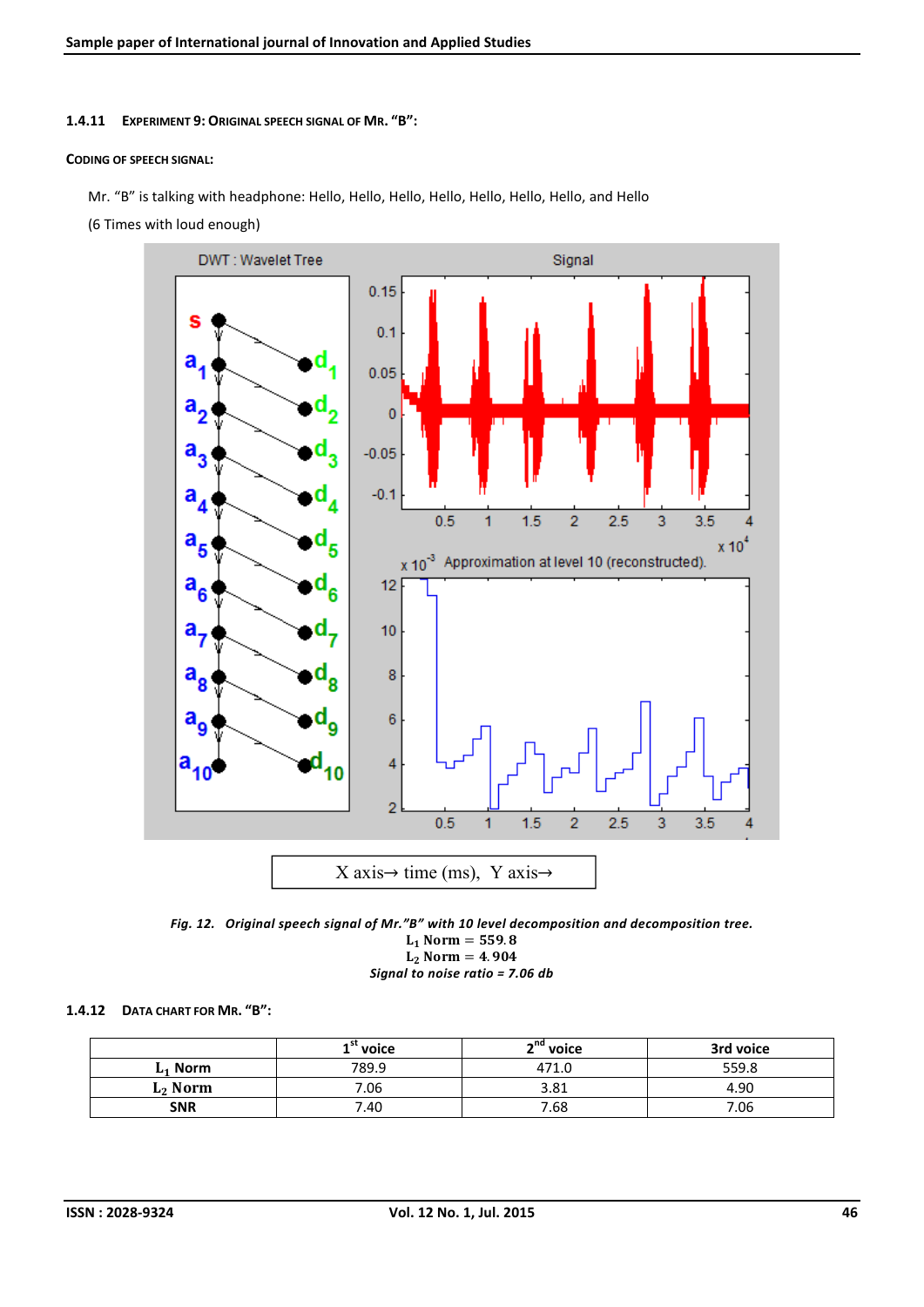### 1.4.11 EXPERIMENT 9: ORIGINAL SPEECH SIGNAL OF MR. "B":

#### CODING OF SPEECH SIGNAL:

Mr. "B" is talking with headphone: Hello, Hello, Hello, Hello, Hello, Hello, Hello, and Hello

(6 Times with loud enough)



*Fig. 12. Original speech signal of Mr."B" with 10 level decomposition and decomposition tree.*  $L_1$  Norm = 559.8

 $L_2$  Norm = 4.904 *Signal to noise ratio = 7.06 db*

### 1.4.12 DATA CHART FOR MR. "B":

|                     | $1^{\prime\prime}$ voice | <sup>and</sup> voice | 3rd voice |  |  |
|---------------------|--------------------------|----------------------|-----------|--|--|
| 789.9<br>$L_1$ Norm |                          | 471.0                | 559.8     |  |  |
| $L_2$ Norm          | 7.06                     | 3.81                 | 4.90      |  |  |
| <b>SNR</b><br>7.40  |                          | 7.68                 | 06.'      |  |  |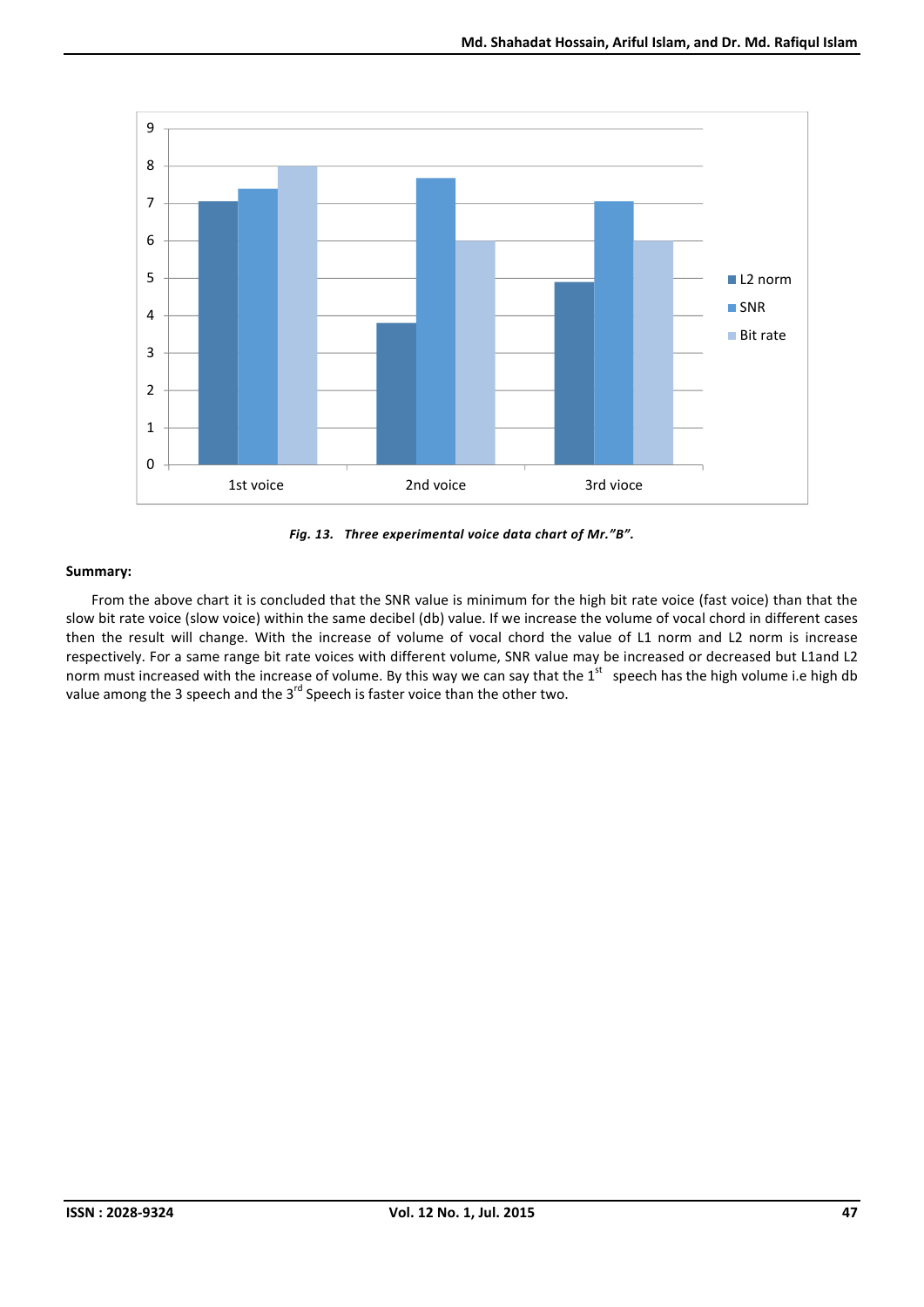

*Fig. 13. Three experimental voice data chart of Mr."B".*

From the above chart it is concluded that the SNR value is minimum for the high bit rate voice (fast voice) than that the slow bit rate voice (slow voice) within the same decibel (db) value. If we increase the volume of vocal chord in different cases then the result will change. With the increase of volume of vocal chord the value of L1 norm and L2 norm is increase respectively. For a same range bit rate voices with different volume, SNR value may be increased or decreased but L1and L2 norm must increased with the increase of volume. By this way we can say that the  $1^{st}$  speech has the high volume i.e high db value among the 3 speech and the  $3^{rd}$  Speech is faster voice than the other two.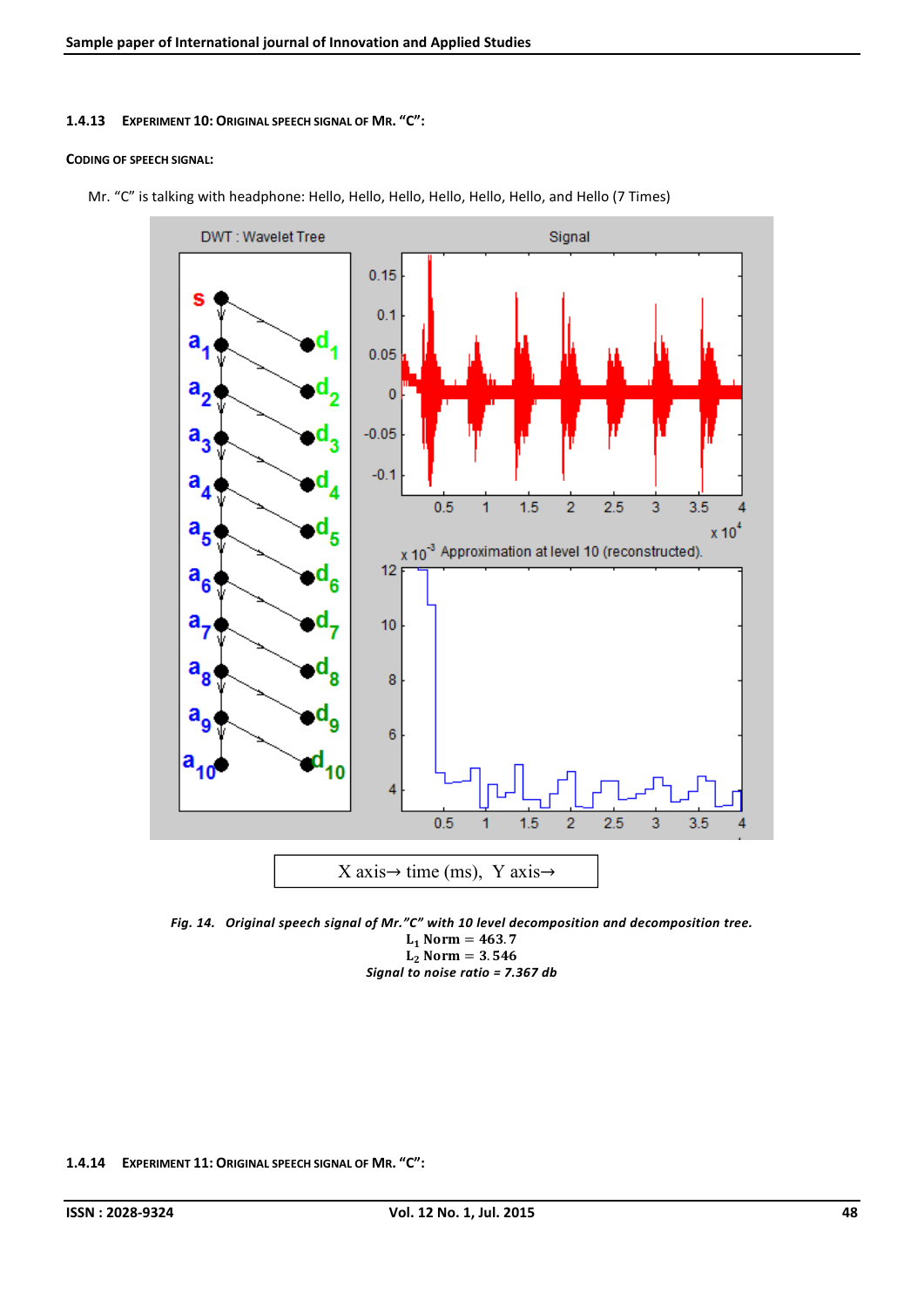#### 1.4.13 EXPERIMENT 10: ORIGINAL SPEECH SIGNAL OF MR. "C":

#### CODING OF SPEECH SIGNAL:



Mr. "C" is talking with headphone: Hello, Hello, Hello, Hello, Hello, Hello, and Hello (7 Times)

*Fig. 14. Original speech signal of Mr."C" with 10 level decomposition and decomposition tree.*  $L_1$  Norm = 463.7  $L_2$  Norm = 3.546 *Signal to noise ratio = 7.367 db*

1.4.14 EXPERIMENT 11: ORIGINAL SPEECH SIGNAL OF MR. "C":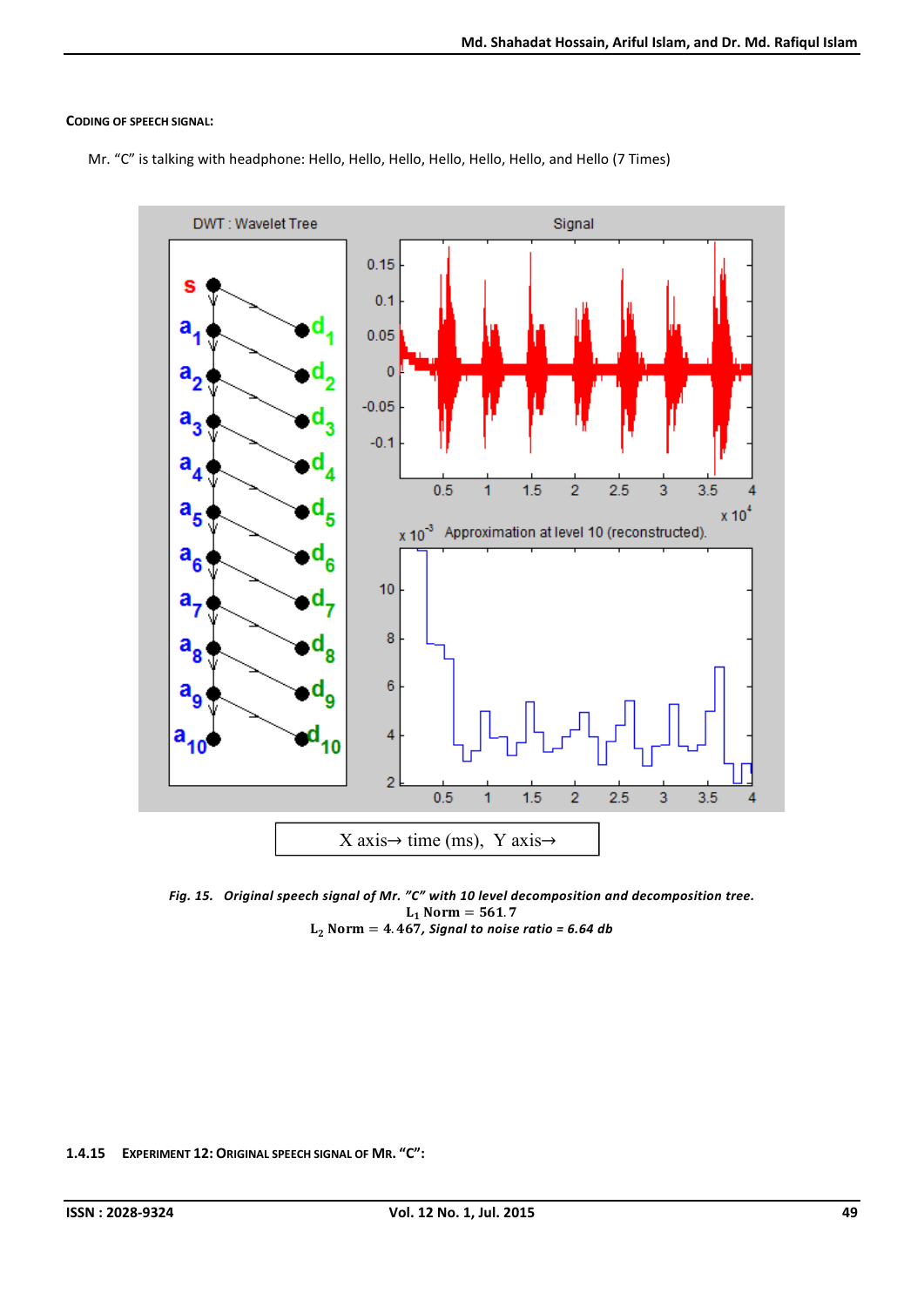### CODING OF SPEECH SIGNAL:

Mr. "C" is talking with headphone: Hello, Hello, Hello, Hello, Hello, Hello, and Hello (7 Times)



*Fig. 15. Original speech signal of Mr. "C" with 10 level decomposition and decomposition tree.*  $L_1$  Norm = 561.7  $L_2$  Norm = 4.467, Signal to noise ratio = 6.64 db

1.4.15 EXPERIMENT 12: ORIGINAL SPEECH SIGNAL OF MR. "C":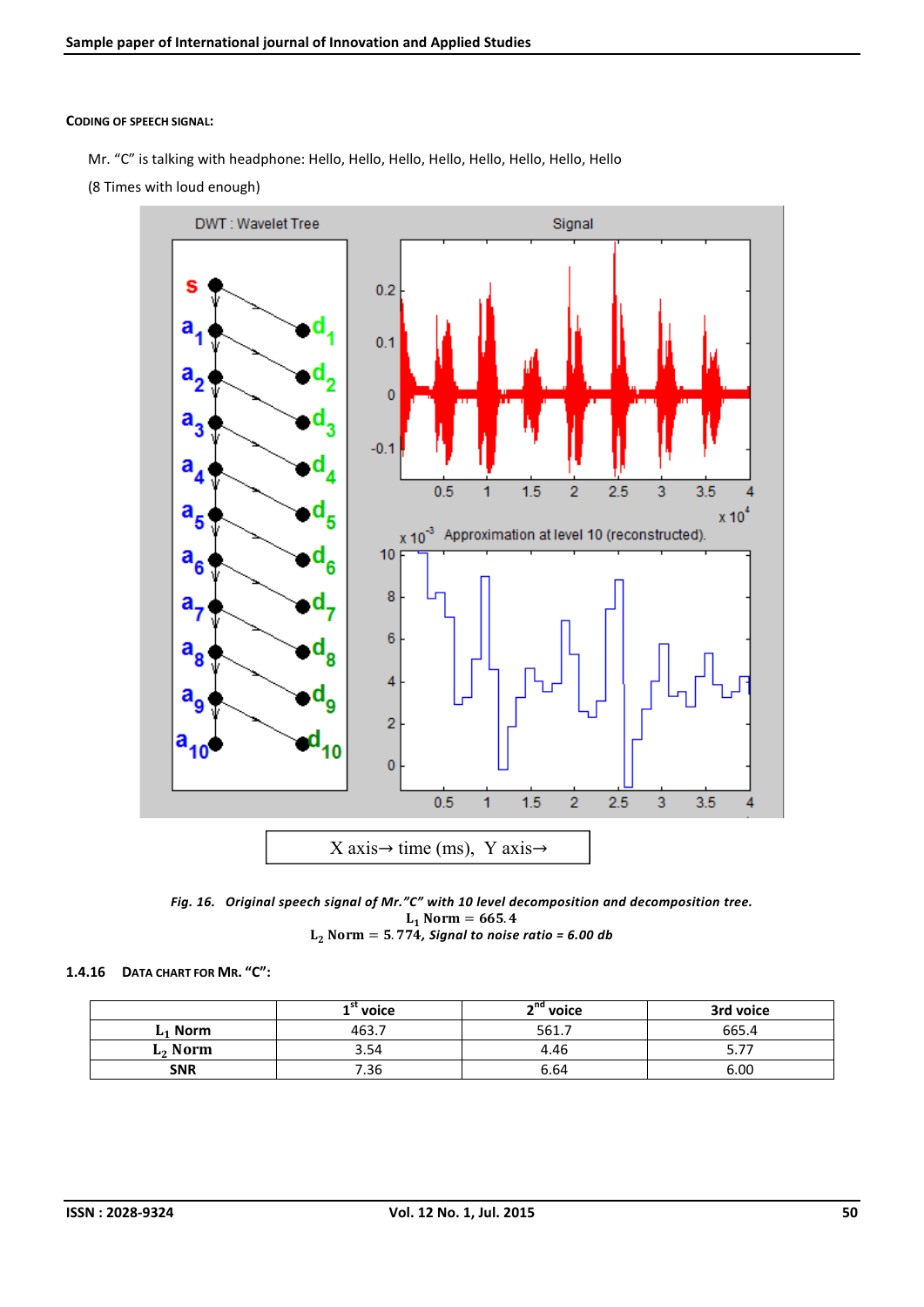#### CODING OF SPEECH SIGNAL:

- Mr. "C" is talking with headphone: Hello, Hello, Hello, Hello, Hello, Hello, Hello, Hello
- (8 Times with loud enough)





#### 1.4.16 DATA CHART FOR MR. "C":

|                    | $1$ " voice | n <sup>nd</sup> voice | 3rd voice |  |  |
|--------------------|-------------|-----------------------|-----------|--|--|
| $L_1$ Norm         | 463.7       | 561.7                 | 665.4     |  |  |
| $L_2$ Norm         | 3.54        | 4.46                  | .         |  |  |
| <b>SNR</b><br>7.36 |             | 6.64                  | 6.00      |  |  |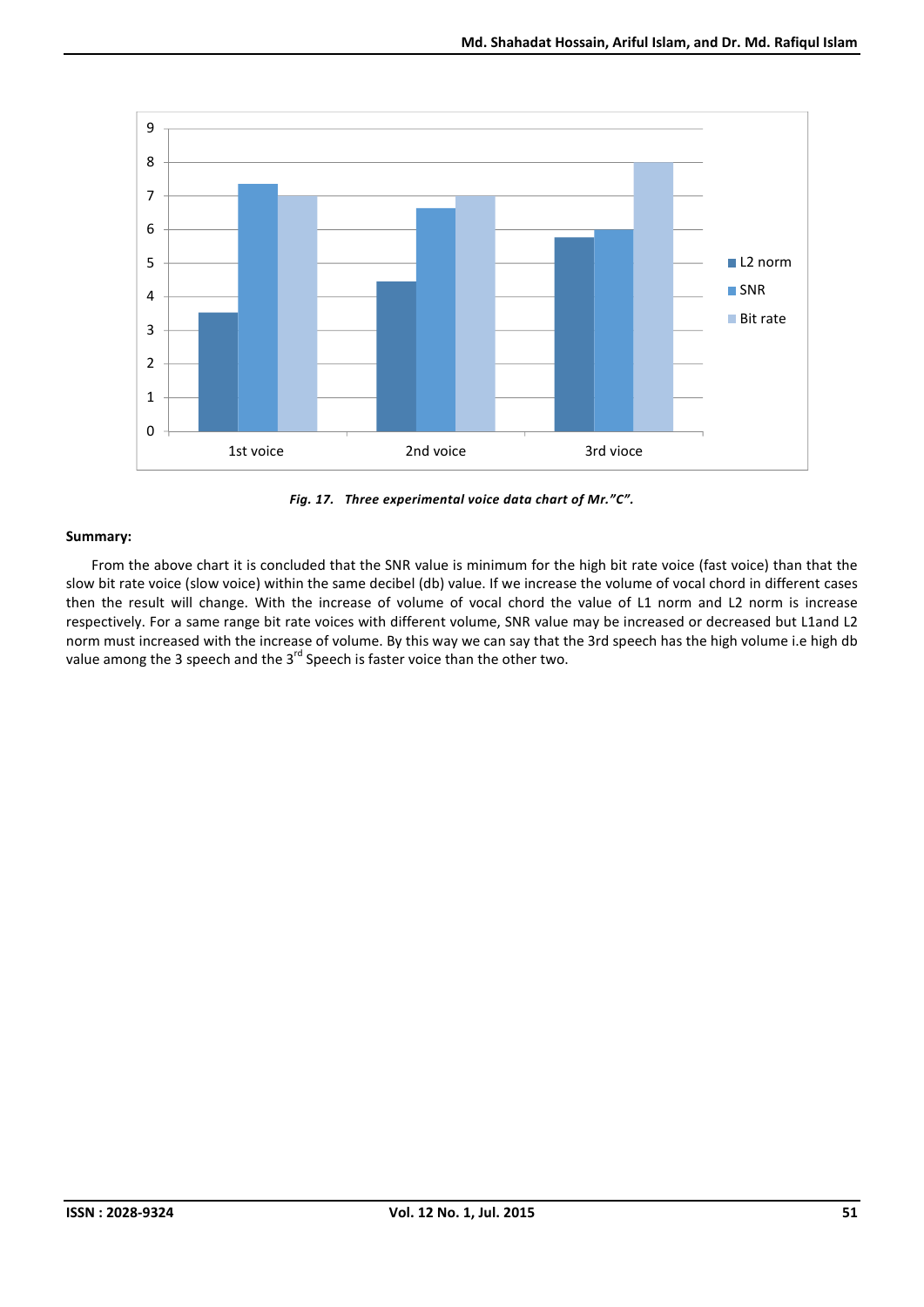

*Fig. 17. Three experimental voice data chart of Mr."C".*

From the above chart it is concluded that the SNR value is minimum for the high bit rate voice (fast voice) than that the slow bit rate voice (slow voice) within the same decibel (db) value. If we increase the volume of vocal chord in different cases then the result will change. With the increase of volume of vocal chord the value of L1 norm and L2 norm is increase respectively. For a same range bit rate voices with different volume, SNR value may be increased or decreased but L1and L2 norm must increased with the increase of volume. By this way we can say that the 3rd speech has the high volume i.e high db value among the 3 speech and the  $3<sup>rd</sup>$  Speech is faster voice than the other two.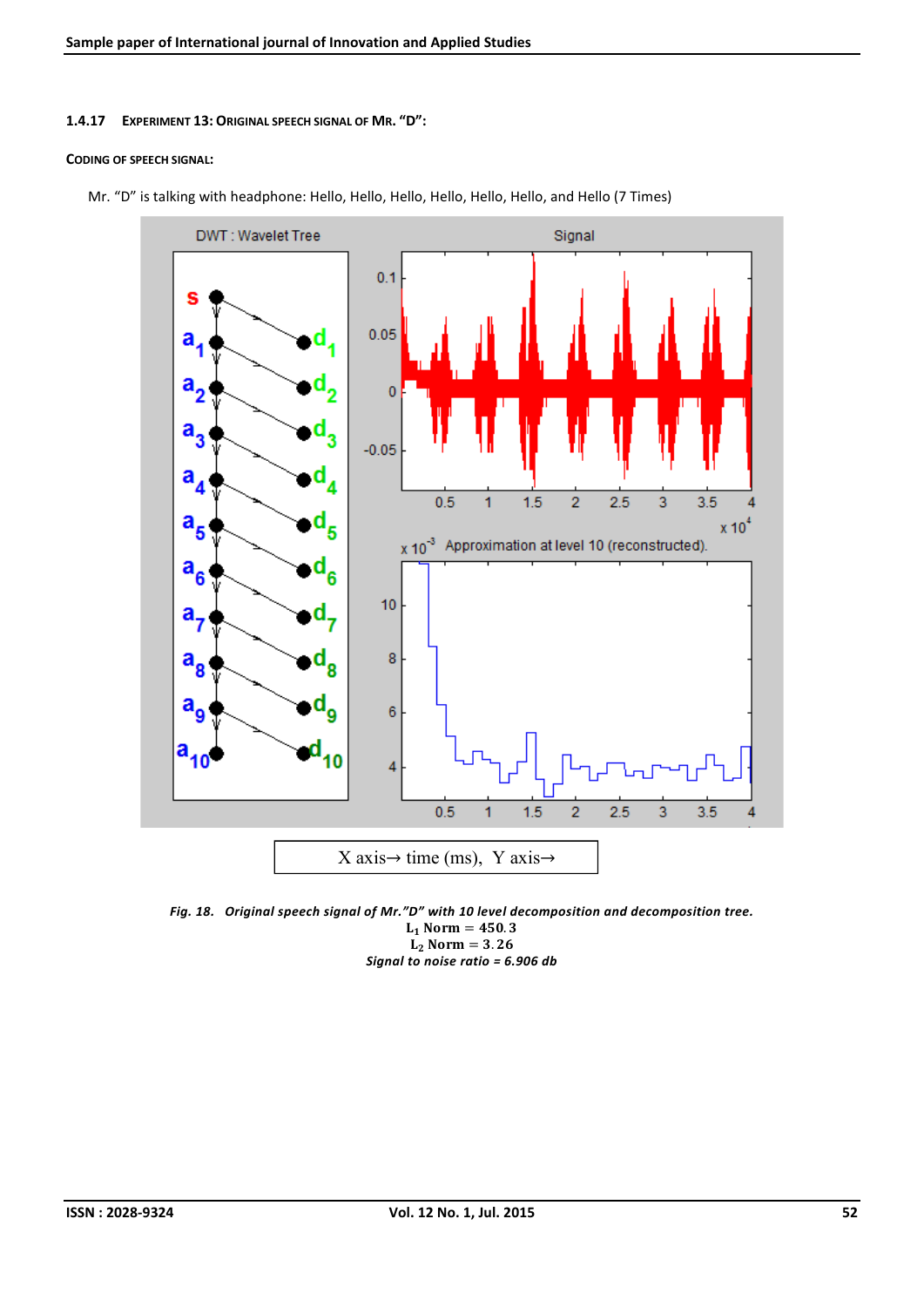#### 1.4.17 EXPERIMENT 13: ORIGINAL SPEECH SIGNAL OF MR. "D":

#### CODING OF SPEECH SIGNAL:



Mr. "D" is talking with headphone: Hello, Hello, Hello, Hello, Hello, Hello, and Hello (7 Times)

*Fig. 18. Original speech signal of Mr."D" with 10 level decomposition and decomposition tree.*  $L_1$  Norm = 450.3  $L_2$  Norm = 3.26 *Signal to noise ratio = 6.906 db*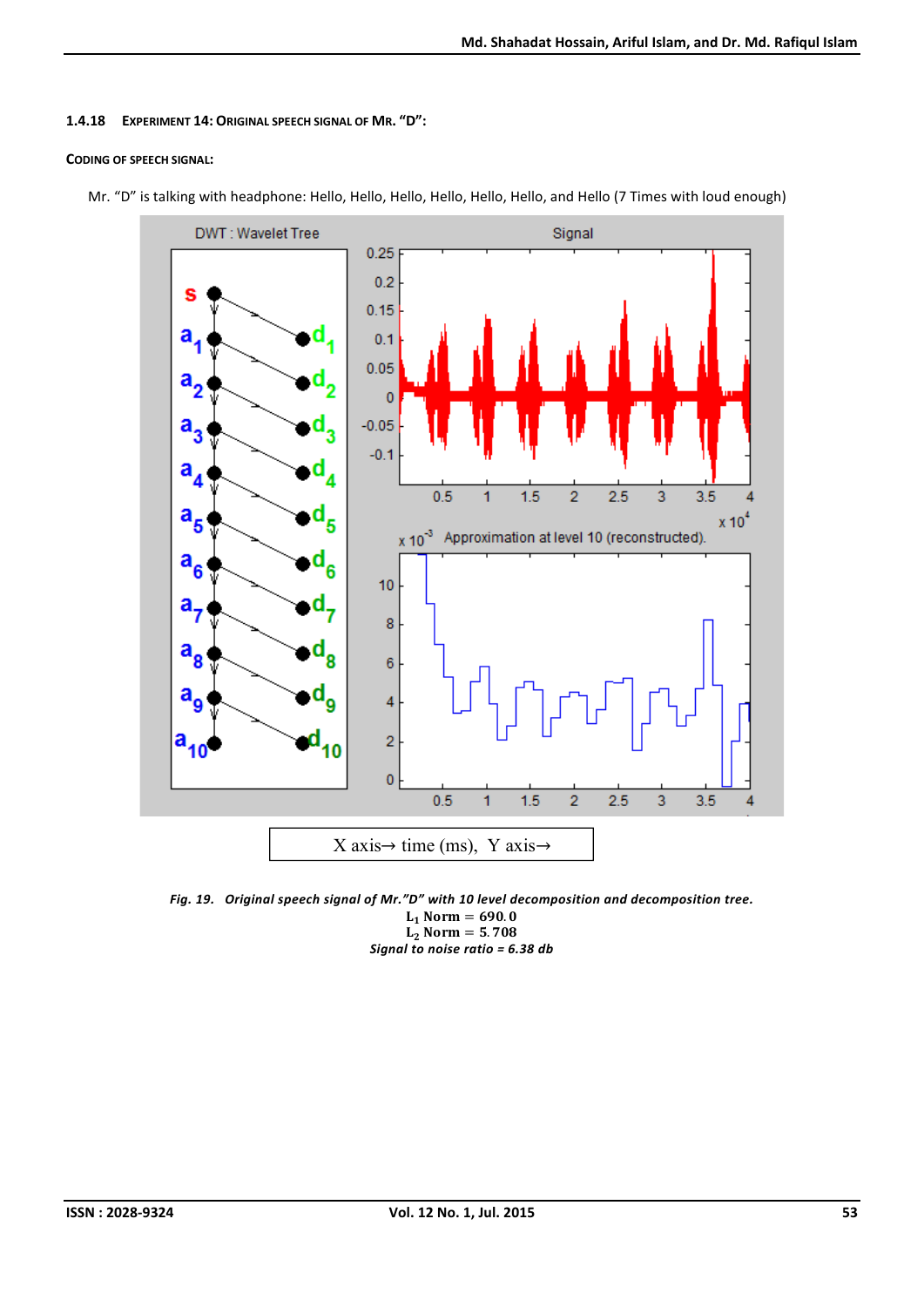## 1.4.18 EXPERIMENT 14: ORIGINAL SPEECH SIGNAL OF MR. "D":

## CODING OF SPEECH SIGNAL:



Mr. "D" is talking with headphone: Hello, Hello, Hello, Hello, Hello, Hello, and Hello (7 Times with loud enough)

*Fig. 19. Original speech signal of Mr."D" with 10 level decomposition and decomposition tree.*  $L_1$  Norm = 690.0  $L_2$  Norm = 5.708 *Signal to noise ratio = 6.38 db*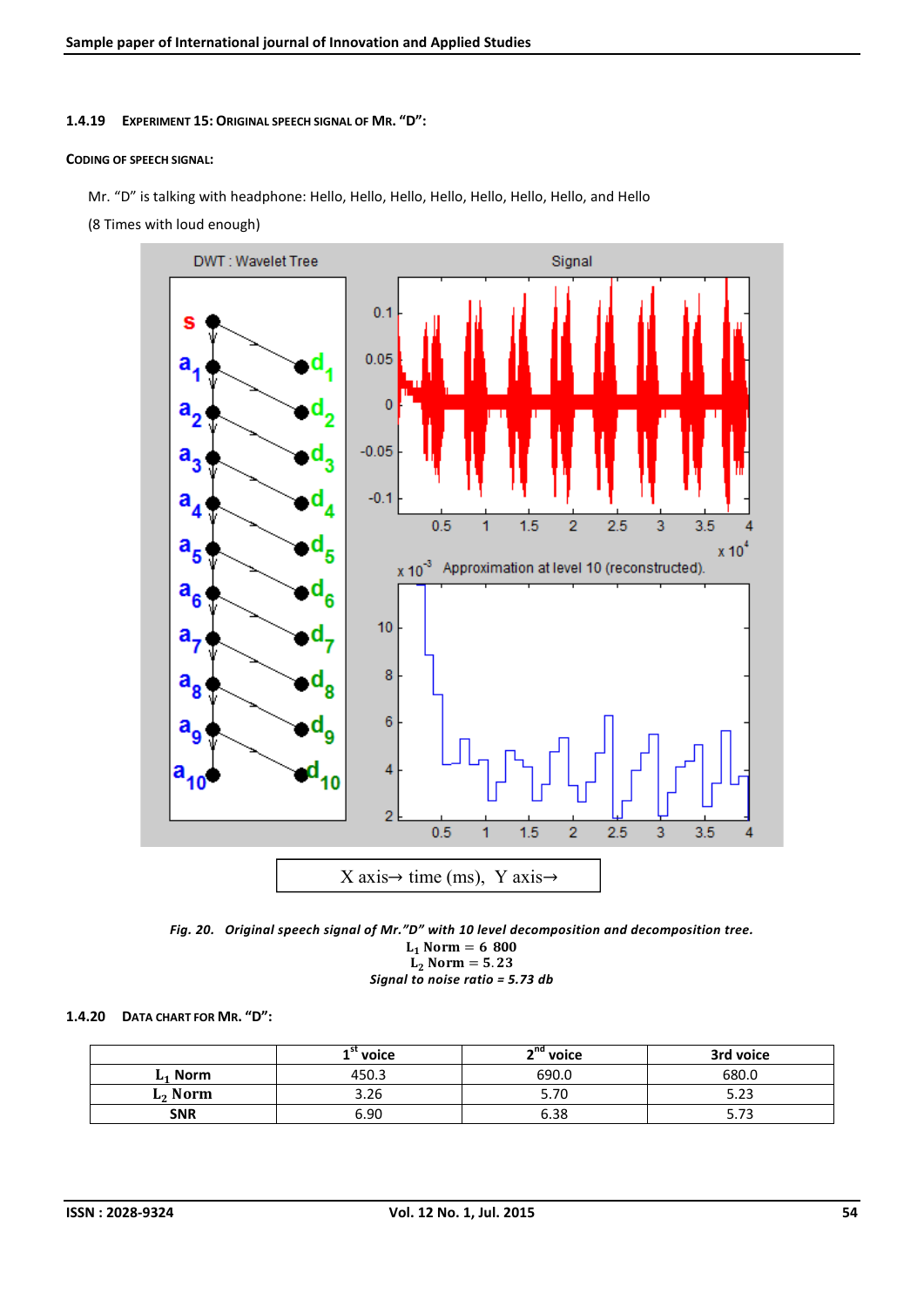1.4.19 EXPERIMENT 15: ORIGINAL SPEECH SIGNAL OF MR. "D":

#### CODING OF SPEECH SIGNAL:

Mr. "D" is talking with headphone: Hello, Hello, Hello, Hello, Hello, Hello, Hello, and Hello

(8 Times with loud enough)





$$
Signal to noise ratio = 5.73 db
$$

## 1.4.20 DATA CHART FOR MR. "D":

|                     | $1st$ voice | ∽uq<br>voice | 3rd voice          |  |  |
|---------------------|-------------|--------------|--------------------|--|--|
| $L_1$ Norm          | 450.3       | 690.0        | 680.0              |  |  |
| L <sub>2</sub> Norm | 3.26        | 5.70         | כר ב<br>3.ZJ       |  |  |
| <b>SNR</b>          | 6.90        | 6.38         | ר ה<br><u>J./J</u> |  |  |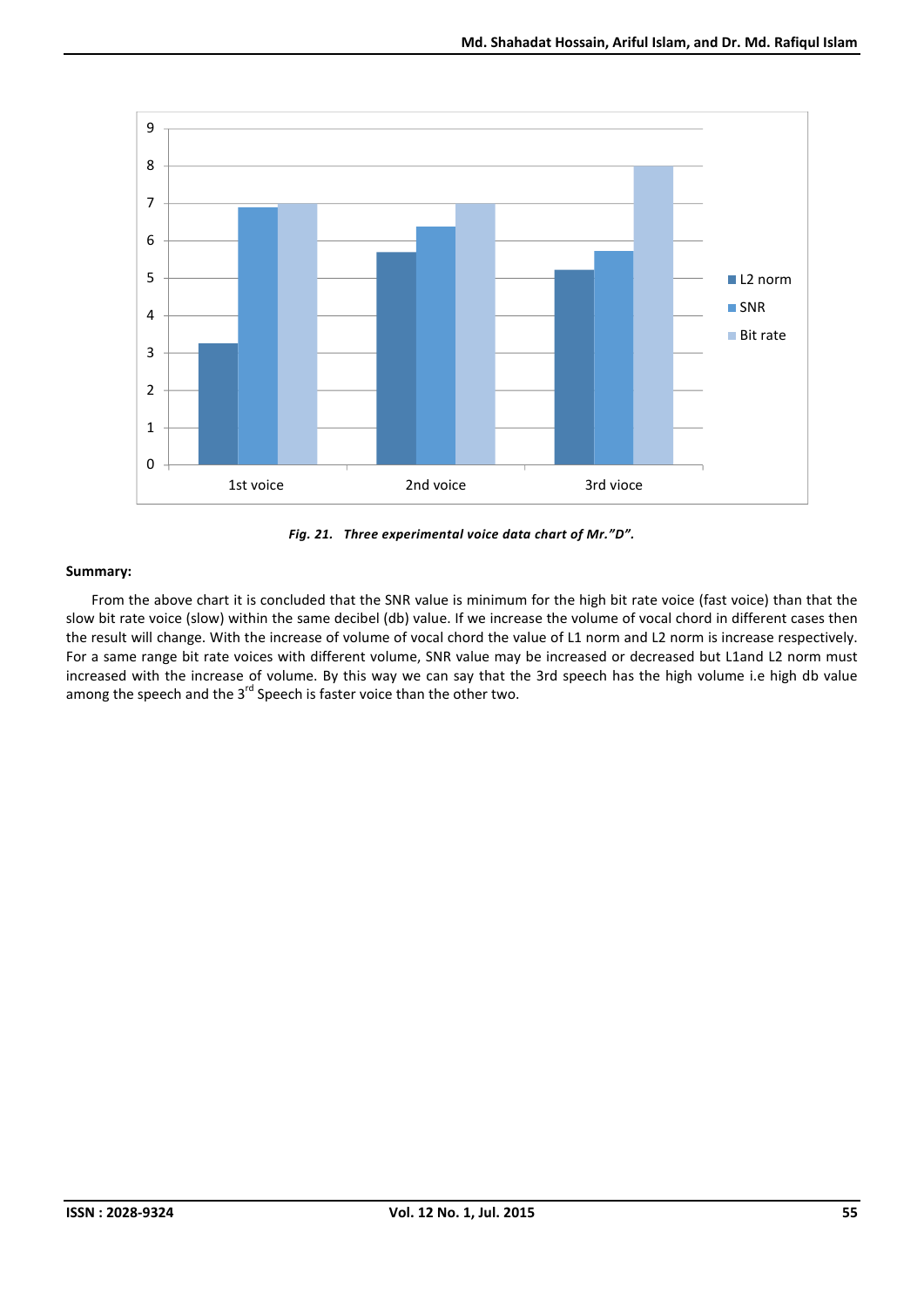



From the above chart it is concluded that the SNR value is minimum for the high bit rate voice (fast voice) than that the slow bit rate voice (slow) within the same decibel (db) value. If we increase the volume of vocal chord in different cases then the result will change. With the increase of volume of vocal chord the value of L1 norm and L2 norm is increase respectively. For a same range bit rate voices with different volume, SNR value may be increased or decreased but L1and L2 norm must increased with the increase of volume. By this way we can say that the 3rd speech has the high volume i.e high db value among the speech and the  $3^{rd}$  Speech is faster voice than the other two.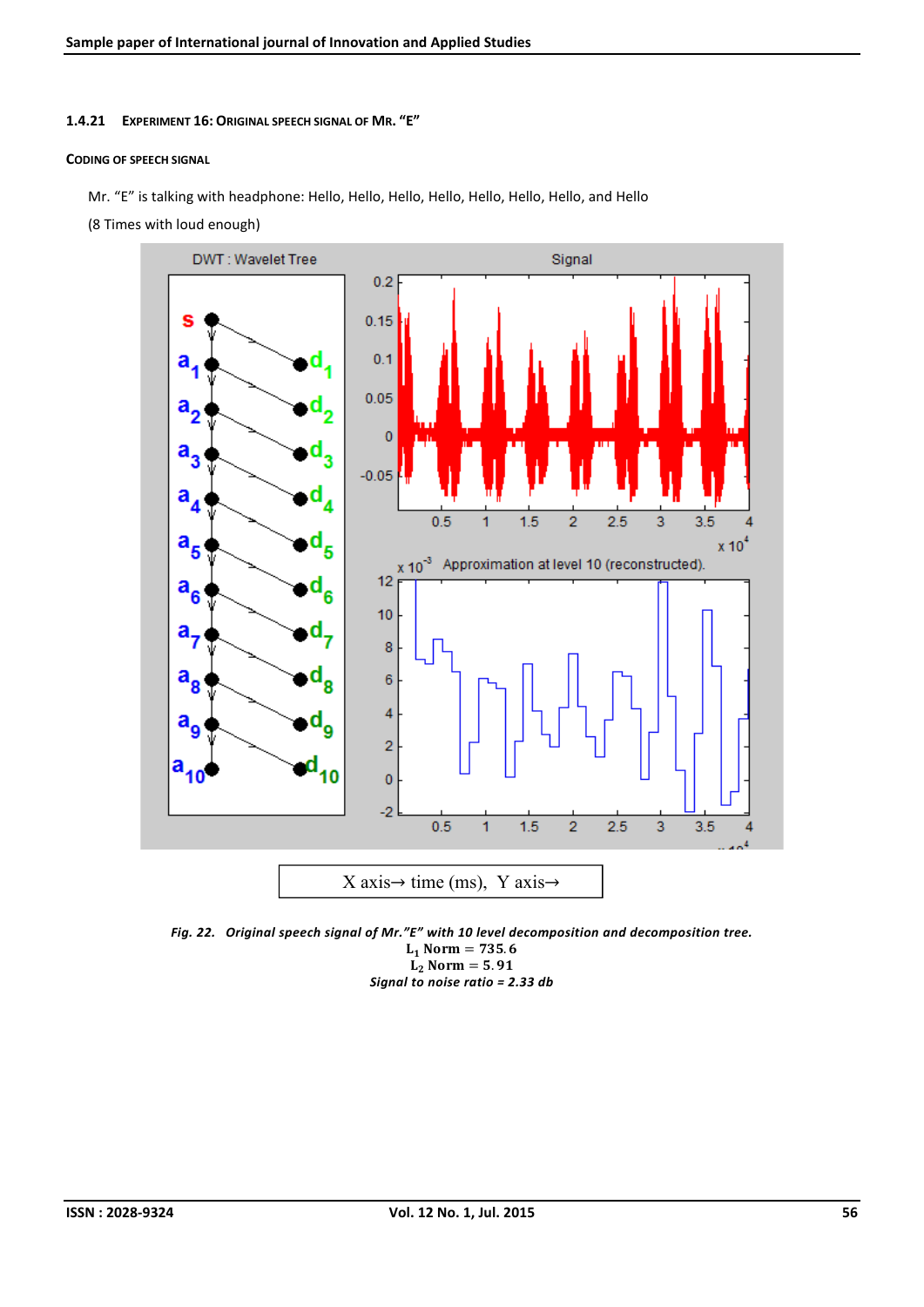### 1.4.21 EXPERIMENT 16: ORIGINAL SPEECH SIGNAL OF MR. "E"

#### CODING OF SPEECH SIGNAL

Mr. "E" is talking with headphone: Hello, Hello, Hello, Hello, Hello, Hello, Hello, and Hello

(8 Times with loud enough)



*Fig. 22. Original speech signal of Mr."E" with 10 level decomposition and decomposition tree.*  $L_1$  Norm = 735.6  $L_2$  Norm = 5.91 *Signal to noise ratio = 2.33 db*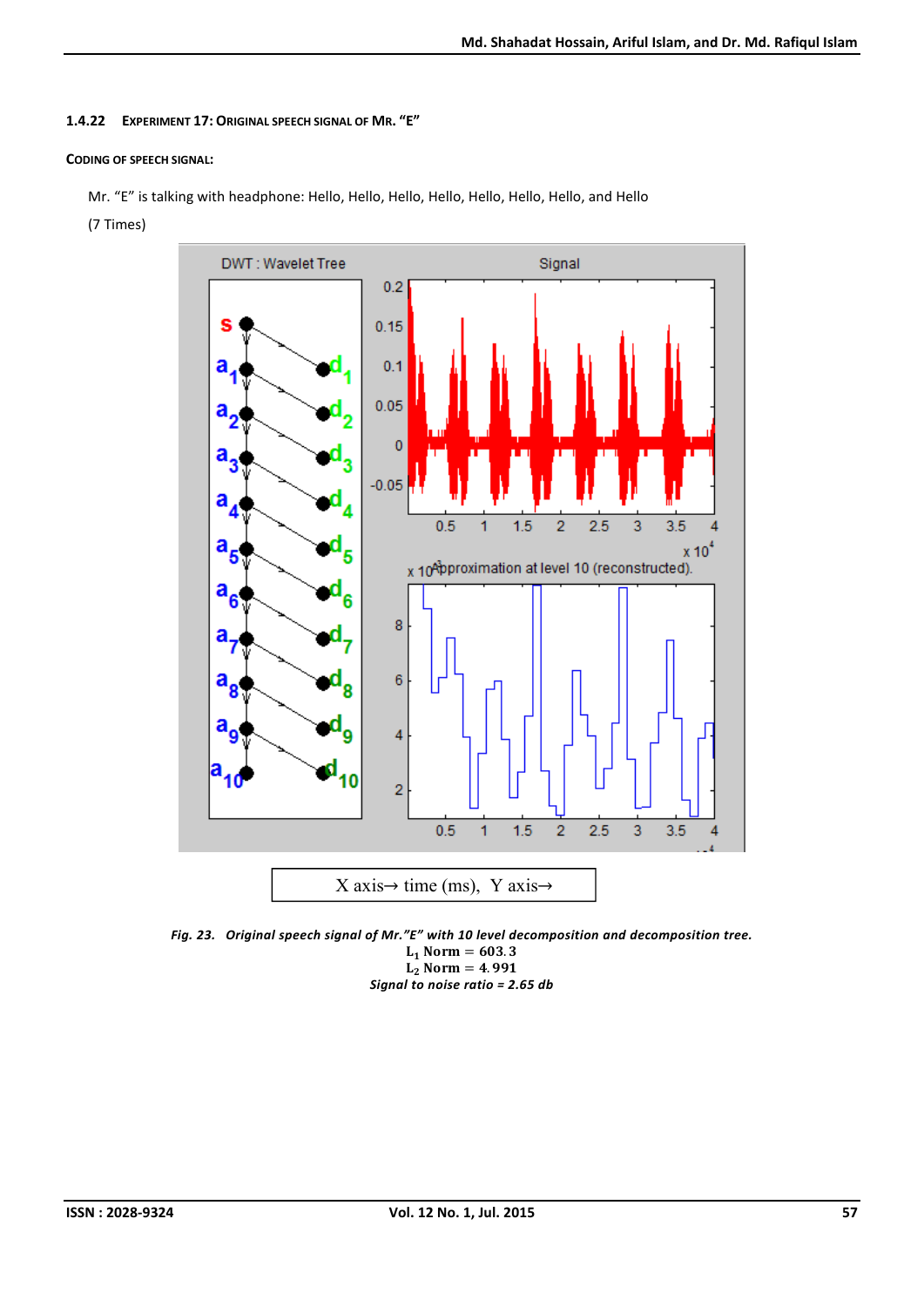## 1.4.22 EXPERIMENT 17: ORIGINAL SPEECH SIGNAL OF MR. "E"

## CODING OF SPEECH SIGNAL:

Mr. "E" is talking with headphone: Hello, Hello, Hello, Hello, Hello, Hello, Hello, and Hello

(7 Times)



*Fig. 23. Original speech signal of Mr."E" with 10 level decomposition and decomposition tree.*  $L_1$  Norm = 603.3  $L_2$  Norm = 4.991 *Signal to noise ratio = 2.65 db*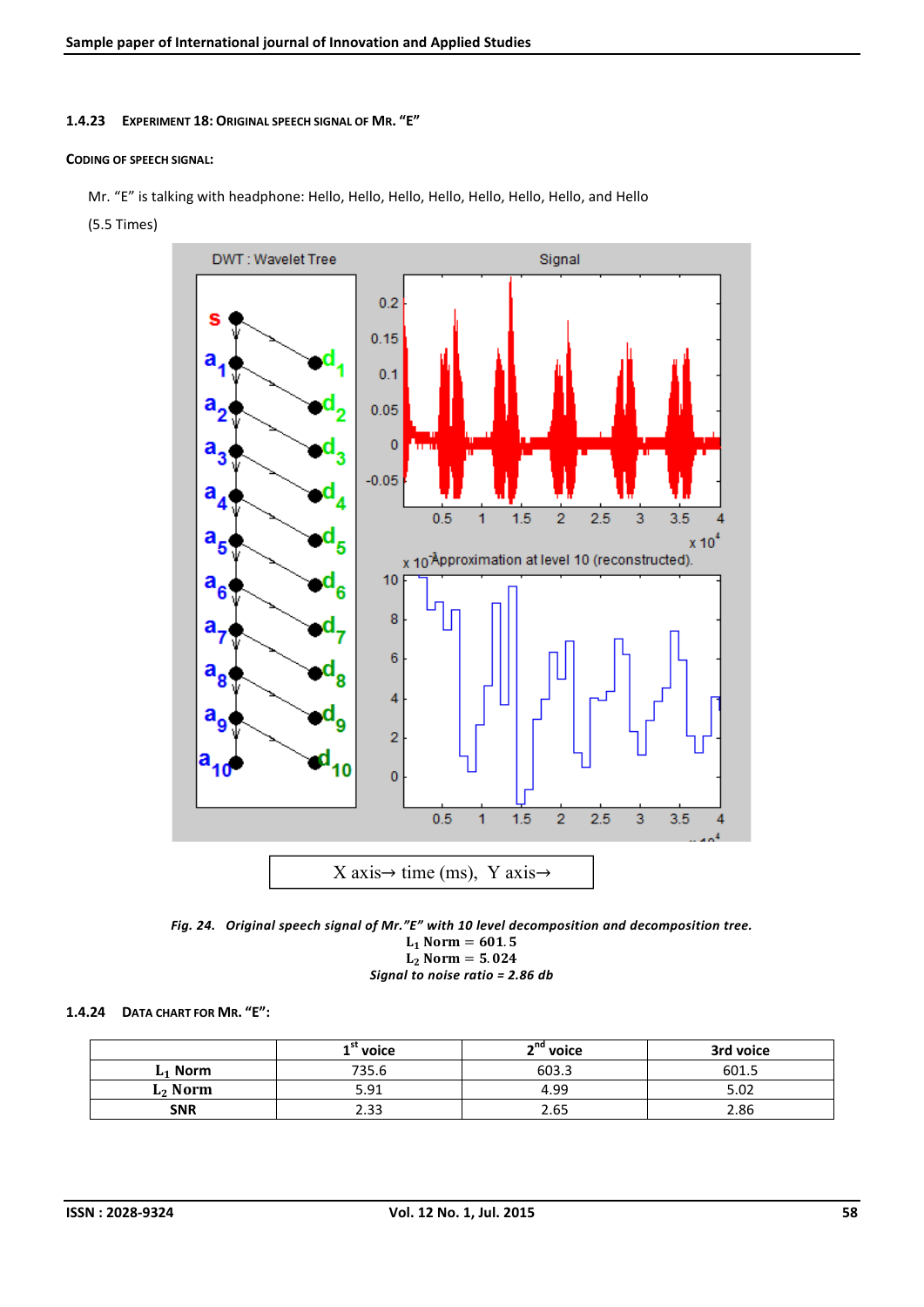## 1.4.23 EXPERIMENT 18: ORIGINAL SPEECH SIGNAL OF MR. "E"

## CODING OF SPEECH SIGNAL:

Mr. "E" is talking with headphone: Hello, Hello, Hello, Hello, Hello, Hello, Hello, and Hello

(5.5 Times)



*Fig. 24. Original speech signal of Mr."E" with 10 level decomposition and decomposition tree.*  $L_1$  Norm = 601.5  $L_2$  Norm = 5.024

## *Signal to noise ratio = 2.86 db*

## 1.4.24 DATA CHART FOR MR. "E":

|            | voice | ~na<br>voice | 3rd voice |  |  |
|------------|-------|--------------|-----------|--|--|
| $L_1$ Norm | 735.6 | 603.3        | 601.5     |  |  |
| $L2$ Norm  | 5.91  | 4.99         | 5.02      |  |  |
| <b>SNR</b> | 2.33  | 2.65         | 2.86      |  |  |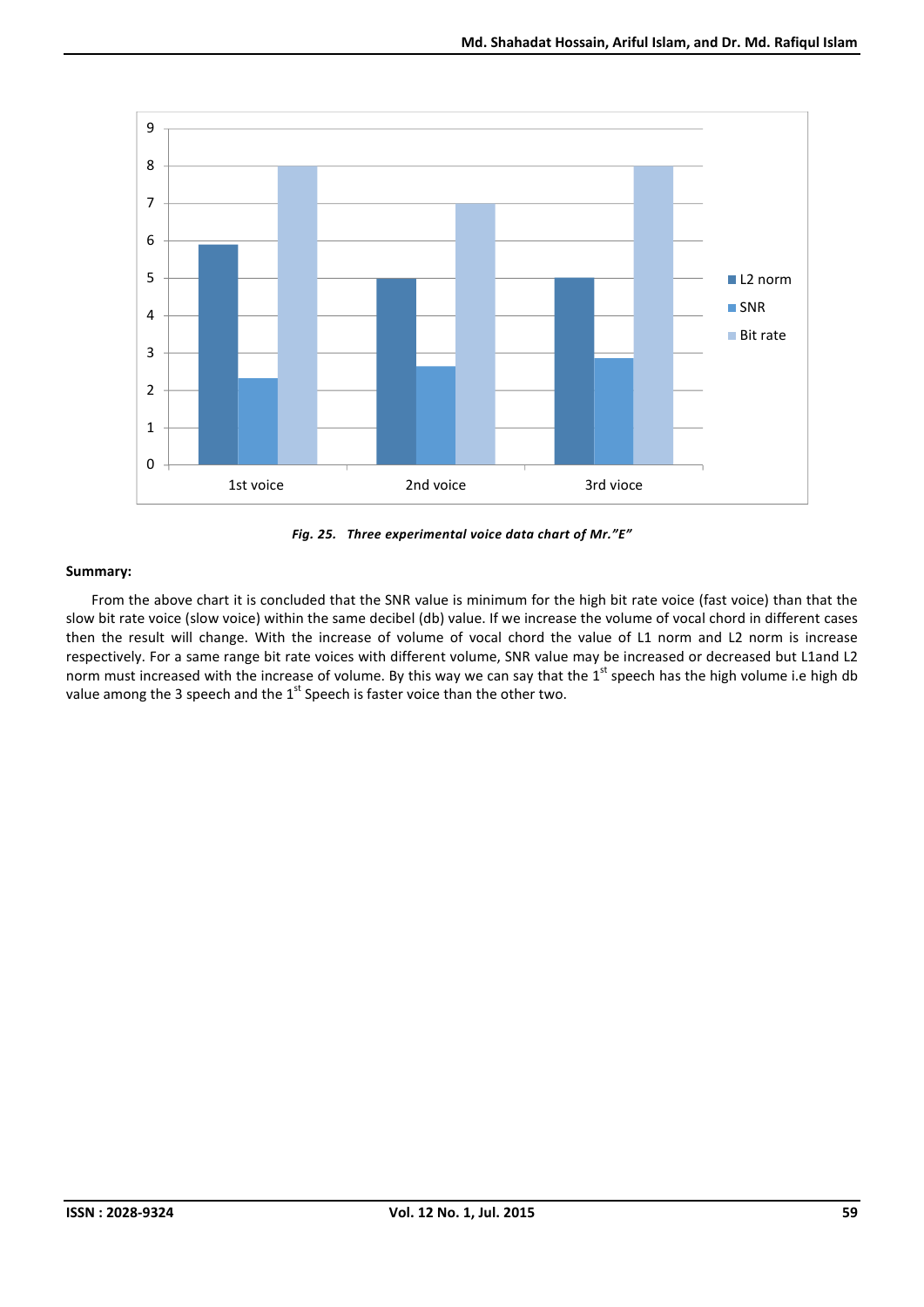



From the above chart it is concluded that the SNR value is minimum for the high bit rate voice (fast voice) than that the slow bit rate voice (slow voice) within the same decibel (db) value. If we increase the volume of vocal chord in different cases then the result will change. With the increase of volume of vocal chord the value of L1 norm and L2 norm is increase respectively. For a same range bit rate voices with different volume, SNR value may be increased or decreased but L1and L2 norm must increased with the increase of volume. By this way we can say that the  $1^{\text{st}}$  speech has the high volume i.e high db value among the 3 speech and the 1<sup>st</sup> Speech is faster voice than the other two.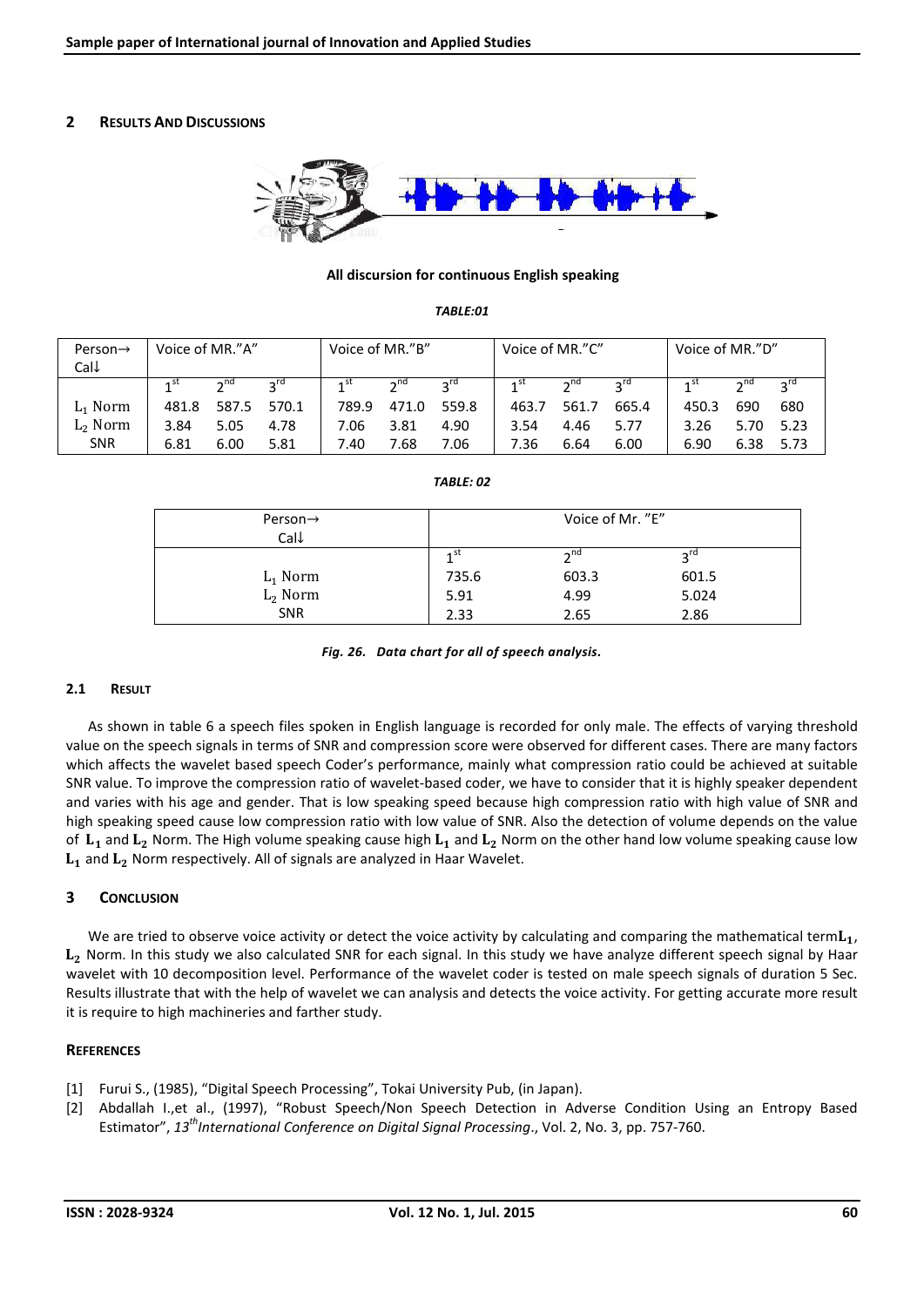## 2 RESULTS AND DISCUSSIONS



### All discursion for continuous English speaking

#### *TABLE:01*

| Person $\rightarrow$ | Voice of MR."A" |      | Voice of MR."B"   |              | Voice of MR."C" |                 |       | Voice of MR."D" |                    |              |      |      |
|----------------------|-----------------|------|-------------------|--------------|-----------------|-----------------|-------|-----------------|--------------------|--------------|------|------|
| Call                 |                 |      |                   |              |                 |                 |       |                 |                    |              |      |      |
|                      |                 |      | $2^{\mathsf{ru}}$ | $1^{\rm st}$ | $2^{nd}$        | $2^{\text{ru}}$ |       | $2^{\text{na}}$ | $2^{\prime\prime}$ | $1^{\rm st}$ |      |      |
| $L_1$ Norm           | 481.8           |      | 587.5 570.1       | 789.9        | 471.0           | 559.8           | 463.7 | 561.7           | 665.4              | 450.3        | 690  | 680  |
| $L2$ Norm            | 3.84            | 5.05 | 4.78              | 7.06         | 3.81            | 4.90            | 3.54  | 4.46            | 5.77               | 3.26         | 5.70 | 5.23 |
| <b>SNR</b>           | 6.81            | 6.00 | 5.81              | 7.40         | 7.68            | 7.06            | 7.36  | 6.64            | 6.00               | 6.90         | 6.38 | 5.73 |

## *TABLE: 02*

| Person $\rightarrow$ | Voice of Mr. "E" |           |                 |  |
|----------------------|------------------|-----------|-----------------|--|
| Call                 |                  |           |                 |  |
|                      | ⊿ St             | $\neg$ nd | $2^{\text{rd}}$ |  |
| $L_1$ Norm           | 735.6            | 603.3     | 601.5           |  |
| $L_2$ Norm           | 5.91             | 4.99      | 5.024           |  |
| <b>SNR</b>           | 2.33             | 2.65      | 2.86            |  |

*Fig. 26. Data chart for all of speech analysis.*

### 2.1 RESULT

As shown in table 6 a speech files spoken in English language is recorded for only male. The effects of varying threshold value on the speech signals in terms of SNR and compression score were observed for different cases. There are many factors which affects the wavelet based speech Coder's performance, mainly what compression ratio could be achieved at suitable SNR value. To improve the compression ratio of wavelet-based coder, we have to consider that it is highly speaker dependent and varies with his age and gender. That is low speaking speed because high compression ratio with high value of SNR and high speaking speed cause low compression ratio with low value of SNR. Also the detection of volume depends on the value of  $L_1$  and  $L_2$  Norm. The High volume speaking cause high  $L_1$  and  $L_2$  Norm on the other hand low volume speaking cause low  $L_1$  and  $L_2$  Norm respectively. All of signals are analyzed in Haar Wavelet.

## 3 CONCLUSION

We are tried to observe voice activity or detect the voice activity by calculating and comparing the mathematical term $L_1$ ,  $L_2$  Norm. In this study we also calculated SNR for each signal. In this study we have analyze different speech signal by Haar wavelet with 10 decomposition level. Performance of the wavelet coder is tested on male speech signals of duration 5 Sec. Results illustrate that with the help of wavelet we can analysis and detects the voice activity. For getting accurate more result it is require to high machineries and farther study.

## **REFERENCES**

- [1] Furui S., (1985), "Digital Speech Processing", Tokai University Pub, (in Japan).
- [2] Abdallah I.,et al., (1997), "Robust Speech/Non Speech Detection in Adverse Condition Using an Entropy Based Estimator", *13 th International Conference on Digital Signal Processing*., Vol. 2, No. 3, pp. 757-760.